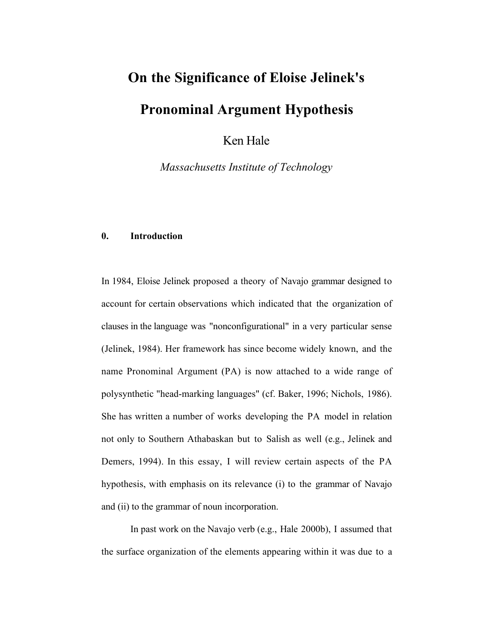# On the Significance of Eloise Jelinek's

# Pronominal Argument Hypothesis

Ken Hale

*Massachusetts Institute of Technology*

### 0. Introduction

In 1984, Eloise Jelinek proposed a theory of Navajo grammar designed to account for certain observations which indicated that the organization of clauses in the language was "nonconfigurational" in a very particular sense (Jelinek, 1984). Her framework has since become widely known, and the name Pronominal Argument (PA) is now attached to a wide range of polysynthetic "head-marking languages" (cf. Baker, 1996; Nichols, 1986). She has written a number of works developing the PA model in relation not only to Southern Athabaskan but to Salish as well (e.g., Jelinek and Demers, 1994). In this essay, I will review certain aspects of the PA hypothesis, with emphasis on its relevance (i) to the grammar of Navajo and (ii) to the grammar of noun incorporation.

In past work on the Navajo verb (e.g., Hale 2000b), I assumed that the surface organization of the elements appearing within it was due to a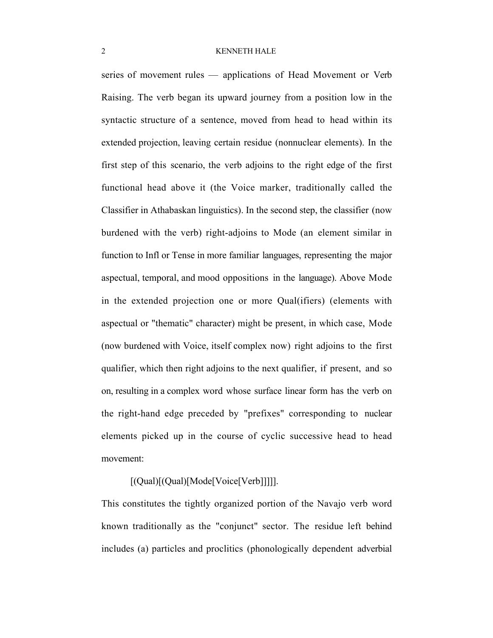series of movement rules — applications of Head Movement or Verb Raising. The verb began its upward journey from a position low in the syntactic structure of a sentence, moved from head to head within its extended projection, leaving certain residue (nonnuclear elements). In the first step of this scenario, the verb adjoins to the right edge of the first functional head above it (the Voice marker, traditionally called the Classifier in Athabaskan linguistics). In the second step, the classifier (now burdened with the verb) right-adjoins to Mode (an element similar in function to Infl or Tense in more familiar languages, representing the major aspectual, temporal, and mood oppositions in the language). Above Mode in the extended projection one or more Qual(ifiers) (elements with aspectual or "thematic" character) might be present, in which case, Mode (now burdened with Voice, itself complex now) right adjoins to the first qualifier, which then right adjoins to the next qualifier, if present, and so on, resulting in a complex word whose surface linear form has the verb on the right-hand edge preceded by "prefixes" corresponding to nuclear elements picked up in the course of cyclic successive head to head movement:

[(Qual)[(Qual)[Mode[Voice[Verb]]]]].

This constitutes the tightly organized portion of the Navajo verb word known traditionally as the "conjunct" sector. The residue left behind includes (a) particles and proclitics (phonologically dependent adverbial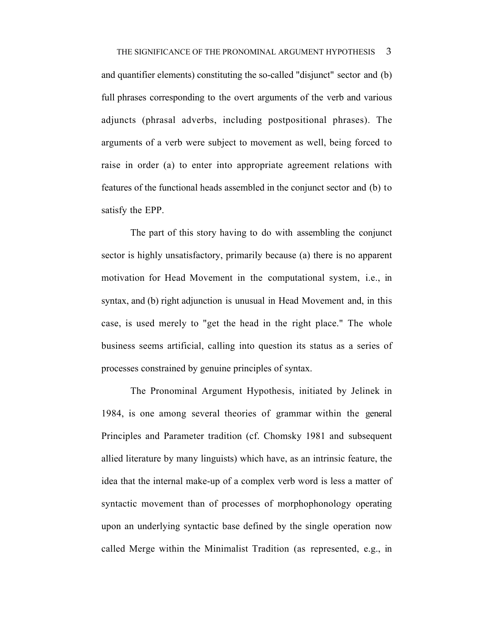and quantifier elements) constituting the so-called "disjunct" sector and (b) full phrases corresponding to the overt arguments of the verb and various adjuncts (phrasal adverbs, including postpositional phrases). The arguments of a verb were subject to movement as well, being forced to raise in order (a) to enter into appropriate agreement relations with features of the functional heads assembled in the conjunct sector and (b) to satisfy the EPP.

The part of this story having to do with assembling the conjunct sector is highly unsatisfactory, primarily because (a) there is no apparent motivation for Head Movement in the computational system, i.e., in syntax, and (b) right adjunction is unusual in Head Movement and, in this case, is used merely to "get the head in the right place." The whole business seems artificial, calling into question its status as a series of processes constrained by genuine principles of syntax.

The Pronominal Argument Hypothesis, initiated by Jelinek in 1984, is one among several theories of grammar within the general Principles and Parameter tradition (cf. Chomsky 1981 and subsequent allied literature by many linguists) which have, as an intrinsic feature, the idea that the internal make-up of a complex verb word is less a matter of syntactic movement than of processes of morphophonology operating upon an underlying syntactic base defined by the single operation now called Merge within the Minimalist Tradition (as represented, e.g., in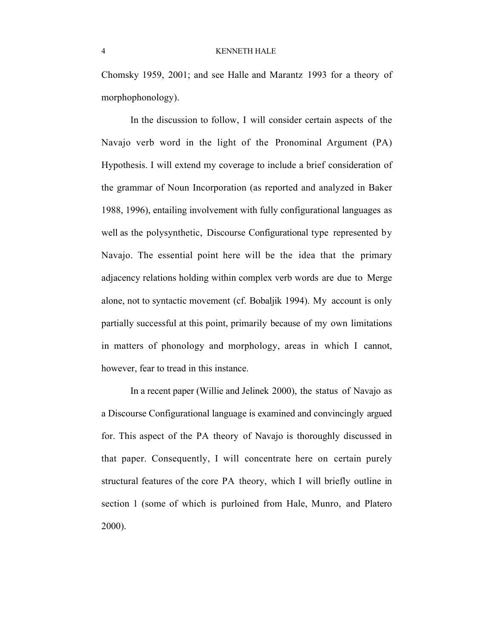Chomsky 1959, 2001; and see Halle and Marantz 1993 for a theory of morphophonology).

In the discussion to follow, I will consider certain aspects of the Navajo verb word in the light of the Pronominal Argument (PA) Hypothesis. I will extend my coverage to include a brief consideration of the grammar of Noun Incorporation (as reported and analyzed in Baker 1988, 1996), entailing involvement with fully configurational languages as well as the polysynthetic, Discourse Configurational type represented by Navajo. The essential point here will be the idea that the primary adjacency relations holding within complex verb words are due to Merge alone, not to syntactic movement (cf. Bobaljik 1994). My account is only partially successful at this point, primarily because of my own limitations in matters of phonology and morphology, areas in which I cannot, however, fear to tread in this instance.

In a recent paper (Willie and Jelinek 2000), the status of Navajo as a Discourse Configurational language is examined and convincingly argued for. This aspect of the PA theory of Navajo is thoroughly discussed in that paper. Consequently, I will concentrate here on certain purely structural features of the core PA theory, which I will briefly outline in section 1 (some of which is purloined from Hale, Munro, and Platero 2000).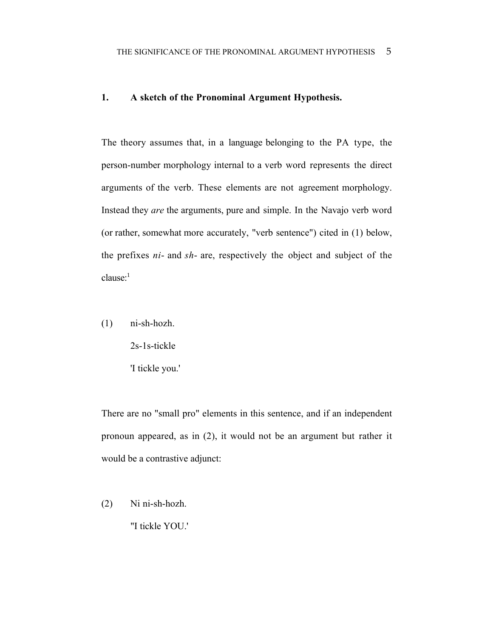# 1. A sketch of the Pronominal Argument Hypothesis.

The theory assumes that, in a language belonging to the PA type, the person-number morphology internal to a verb word represents the direct arguments of the verb. These elements are not agreement morphology. Instead they *are* the arguments, pure and simple. In the Navajo verb word (or rather, somewhat more accurately, "verb sentence") cited in (1) below, the prefixes *ni*- and *sh*- are, respectively the object and subject of the  $clause:$ <sup>1</sup>

(1) ni-sh-hozh.

2s-1s-tickle 'I tickle you.'

There are no "small pro" elements in this sentence, and if an independent pronoun appeared, as in (2), it would not be an argument but rather it would be a contrastive adjunct:

(2) Ni ni-sh-hozh. "I tickle YOU.'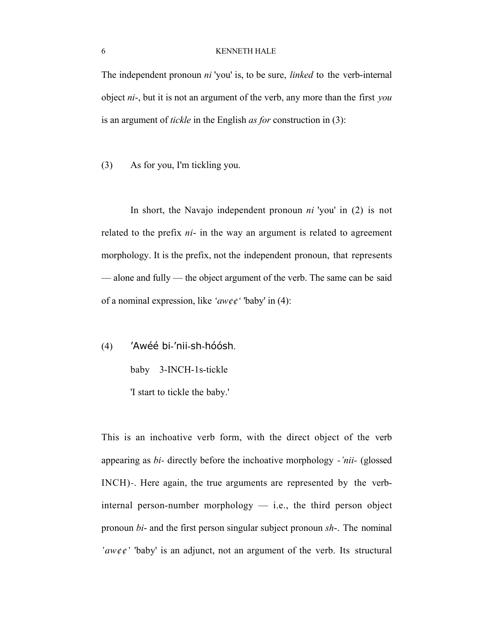The independent pronoun *ni* 'you' is, to be sure, *linked* to the verb-internal object *ni*-, but it is not an argument of the verb, any more than the first *you* is an argument of *tickle* in the English *as for* construction in (3):

(3) As for you, I'm tickling you.

In short, the Navajo independent pronoun *ni* 'you' in (2) is not related to the prefix *ni*- in the way an argument is related to agreement morphology. It is the prefix, not the independent pronoun, that represents — alone and fully — the object argument of the verb. The same can be said of a nominal expression, like *'aw¢¢'* 'baby' in (4):

(4) 'Awéé bi-'nii-sh-hóósh. baby 3-INCH-1s-tickle

'I start to tickle the baby.'

This is an inchoative verb form, with the direct object of the verb appearing as *bi-* directly before the inchoative morphology *-'nii-* (glossed INCH)*-*. Here again, the true arguments are represented by the verbinternal person-number morphology — i.e., the third person object pronoun *bi*- and the first person singular subject pronoun *sh*-. The nominal *'aw¢¢'* 'baby' is an adjunct, not an argument of the verb. Its structural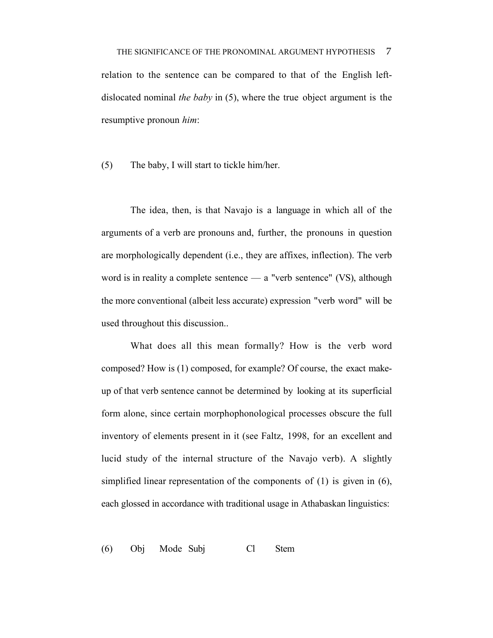relation to the sentence can be compared to that of the English leftdislocated nominal *the baby* in (5), where the true object argument is the resumptive pronoun *him*:

(5) The baby, I will start to tickle him/her.

The idea, then, is that Navajo is a language in which all of the arguments of a verb are pronouns and, further, the pronouns in question are morphologically dependent (i.e., they are affixes, inflection). The verb word is in reality a complete sentence — a "verb sentence" (VS), although the more conventional (albeit less accurate) expression "verb word" will be used throughout this discussion..

What does all this mean formally? How is the verb word composed? How is (1) composed, for example? Of course, the exact makeup of that verb sentence cannot be determined by looking at its superficial form alone, since certain morphophonological processes obscure the full inventory of elements present in it (see Faltz, 1998, for an excellent and lucid study of the internal structure of the Navajo verb). A slightly simplified linear representation of the components of (1) is given in (6), each glossed in accordance with traditional usage in Athabaskan linguistics:

(6) Obj Mode Subj Cl Stem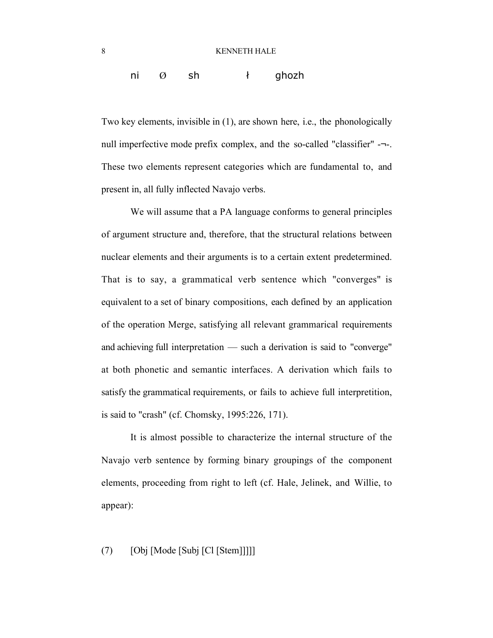# ni  $\emptyset$  sh  $\uparrow$  ghozh

Two key elements, invisible in (1), are shown here, i.e., the phonologically null imperfective mode prefix complex, and the so-called "classifier" -¬-. These two elements represent categories which are fundamental to, and present in, all fully inflected Navajo verbs.

We will assume that a PA language conforms to general principles of argument structure and, therefore, that the structural relations between nuclear elements and their arguments is to a certain extent predetermined. That is to say, a grammatical verb sentence which "converges" is equivalent to a set of binary compositions, each defined by an application of the operation Merge, satisfying all relevant grammarical requirements and achieving full interpretation — such a derivation is said to "converge" at both phonetic and semantic interfaces. A derivation which fails to satisfy the grammatical requirements, or fails to achieve full interpretition, is said to "crash" (cf. Chomsky, 1995:226, 171).

It is almost possible to characterize the internal structure of the Navajo verb sentence by forming binary groupings of the component elements, proceeding from right to left (cf. Hale, Jelinek, and Willie, to appear):

# (7) [Obj [Mode [Subj [Cl [Stem]]]]]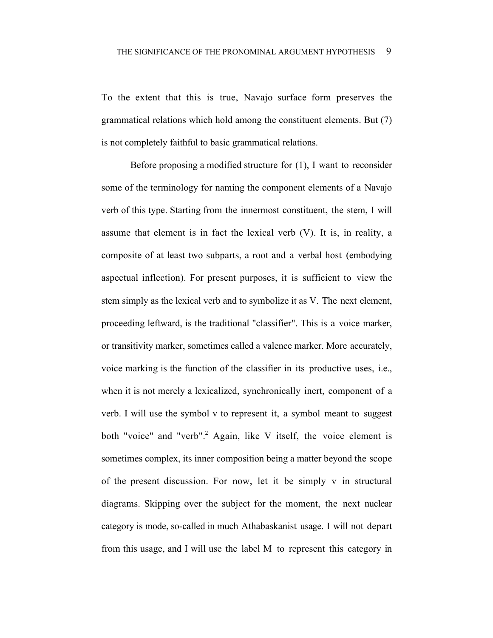To the extent that this is true, Navajo surface form preserves the grammatical relations which hold among the constituent elements. But (7) is not completely faithful to basic grammatical relations.

Before proposing a modified structure for (1), I want to reconsider some of the terminology for naming the component elements of a Navajo verb of this type. Starting from the innermost constituent, the stem, I will assume that element is in fact the lexical verb (V). It is, in reality, a composite of at least two subparts, a root and a verbal host (embodying aspectual inflection). For present purposes, it is sufficient to view the stem simply as the lexical verb and to symbolize it as V. The next element, proceeding leftward, is the traditional "classifier". This is a voice marker, or transitivity marker, sometimes called a valence marker. More accurately, voice marking is the function of the classifier in its productive uses, i.e., when it is not merely a lexicalized, synchronically inert, component of a verb. I will use the symbol v to represent it, a symbol meant to suggest both "voice" and "verb".<sup>2</sup> Again, like V itself, the voice element is sometimes complex, its inner composition being a matter beyond the scope of the present discussion. For now, let it be simply v in structural diagrams. Skipping over the subject for the moment, the next nuclear category is mode, so-called in much Athabaskanist usage. I will not depart from this usage, and I will use the label M to represent this category in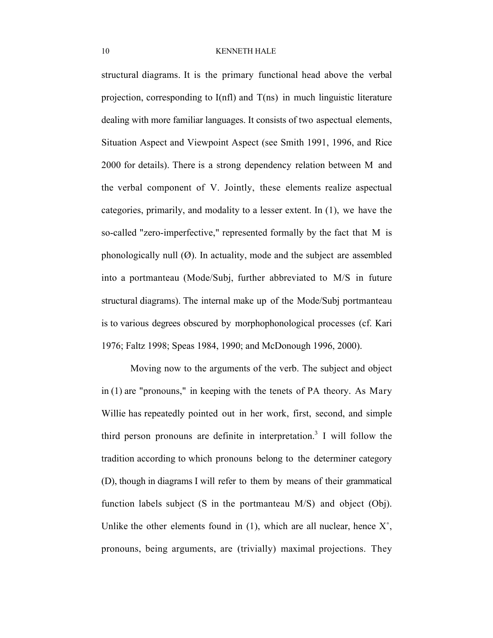structural diagrams. It is the primary functional head above the verbal projection, corresponding to I(nfl) and T(ns) in much linguistic literature dealing with more familiar languages. It consists of two aspectual elements, Situation Aspect and Viewpoint Aspect (see Smith 1991, 1996, and Rice 2000 for details). There is a strong dependency relation between M and the verbal component of V. Jointly, these elements realize aspectual categories, primarily, and modality to a lesser extent. In (1), we have the so-called "zero-imperfective," represented formally by the fact that M is phonologically null  $(\emptyset)$ . In actuality, mode and the subject are assembled into a portmanteau (Mode/Subj, further abbreviated to M/S in future structural diagrams). The internal make up of the Mode/Subj portmanteau is to various degrees obscured by morphophonological processes (cf. Kari 1976; Faltz 1998; Speas 1984, 1990; and McDonough 1996, 2000).

Moving now to the arguments of the verb. The subject and object in (1) are "pronouns," in keeping with the tenets of PA theory. As Mary Willie has repeatedly pointed out in her work, first, second, and simple third person pronouns are definite in interpretation.<sup>3</sup> I will follow the tradition according to which pronouns belong to the determiner category (D), though in diagrams I will refer to them by means of their grammatical function labels subject (S in the portmanteau M/S) and object (Obj). Unlike the other elements found in  $(1)$ , which are all nuclear, hence  $X^{\circ}$ , pronouns, being arguments, are (trivially) maximal projections. They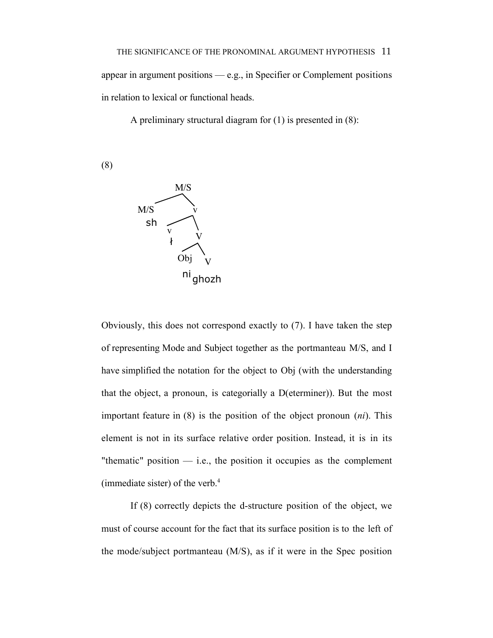appear in argument positions — e.g., in Specifier or Complement positions in relation to lexical or functional heads.

A preliminary structural diagram for (1) is presented in (8):

(8)



Obviously, this does not correspond exactly to (7). I have taken the step of representing Mode and Subject together as the portmanteau M/S, and I have simplified the notation for the object to Obj (with the understanding that the object, a pronoun, is categorially a D(eterminer)). But the most important feature in (8) is the position of the object pronoun (*ni*). This element is not in its surface relative order position. Instead, it is in its "thematic" position  $-$  i.e., the position it occupies as the complement (immediate sister) of the verb. $4$ 

If (8) correctly depicts the d-structure position of the object, we must of course account for the fact that its surface position is to the left of the mode/subject portmanteau (M/S), as if it were in the Spec position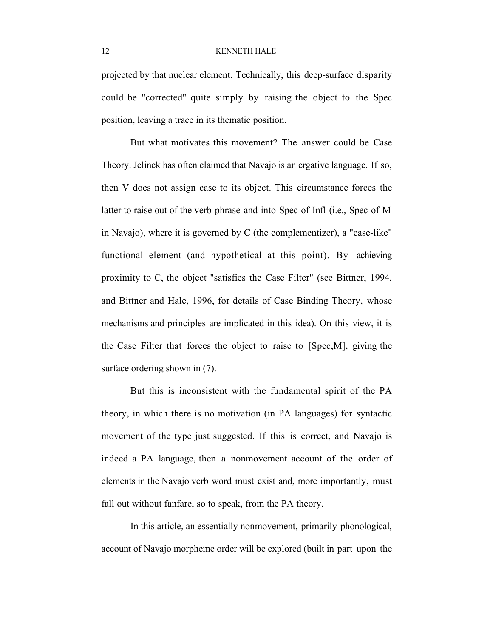projected by that nuclear element. Technically, this deep-surface disparity could be "corrected" quite simply by raising the object to the Spec position, leaving a trace in its thematic position.

But what motivates this movement? The answer could be Case Theory. Jelinek has often claimed that Navajo is an ergative language. If so, then V does not assign case to its object. This circumstance forces the latter to raise out of the verb phrase and into Spec of Infl (i.e., Spec of M in Navajo), where it is governed by C (the complementizer), a "case-like" functional element (and hypothetical at this point). By achieving proximity to C, the object "satisfies the Case Filter" (see Bittner, 1994, and Bittner and Hale, 1996, for details of Case Binding Theory, whose mechanisms and principles are implicated in this idea). On this view, it is the Case Filter that forces the object to raise to [Spec,M], giving the surface ordering shown in (7).

But this is inconsistent with the fundamental spirit of the PA theory, in which there is no motivation (in PA languages) for syntactic movement of the type just suggested. If this is correct, and Navajo is indeed a PA language, then a nonmovement account of the order of elements in the Navajo verb word must exist and, more importantly, must fall out without fanfare, so to speak, from the PA theory.

In this article, an essentially nonmovement, primarily phonological, account of Navajo morpheme order will be explored (built in part upon the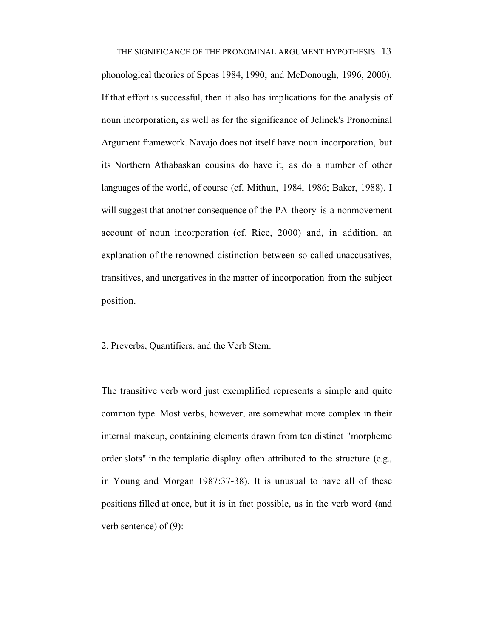THE SIGNIFICANCE OF THE PRONOMINAL ARGUMENT HYPOTHESIS 13 phonological theories of Speas 1984, 1990; and McDonough, 1996, 2000). If that effort is successful, then it also has implications for the analysis of noun incorporation, as well as for the significance of Jelinek's Pronominal Argument framework. Navajo does not itself have noun incorporation, but its Northern Athabaskan cousins do have it, as do a number of other languages of the world, of course (cf. Mithun, 1984, 1986; Baker, 1988). I will suggest that another consequence of the PA theory is a nonmovement account of noun incorporation (cf. Rice, 2000) and, in addition, an explanation of the renowned distinction between so-called unaccusatives, transitives, and unergatives in the matter of incorporation from the subject position.

2. Preverbs, Quantifiers, and the Verb Stem.

The transitive verb word just exemplified represents a simple and quite common type. Most verbs, however, are somewhat more complex in their internal makeup, containing elements drawn from ten distinct "morpheme order slots" in the templatic display often attributed to the structure (e.g., in Young and Morgan 1987:37-38). It is unusual to have all of these positions filled at once, but it is in fact possible, as in the verb word (and verb sentence) of (9):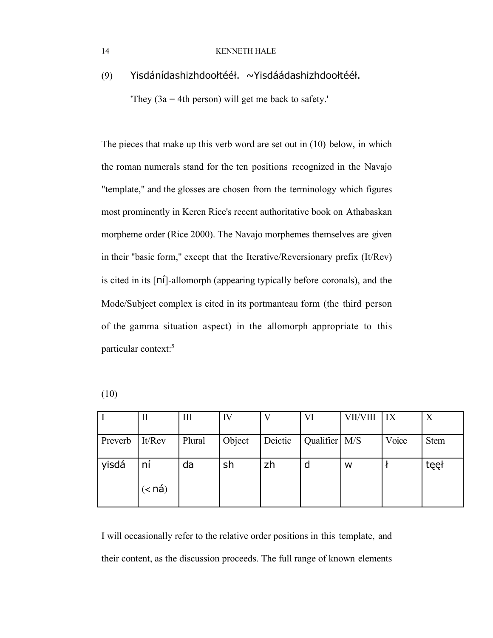(9) Yisdánídashizhdooltéél. ~Yisdáádashizhdooltéél.

'They (3a = 4th person) will get me back to safety.'

The pieces that make up this verb word are set out in (10) below, in which the roman numerals stand for the ten positions recognized in the Navajo "template," and the glosses are chosen from the terminology which figures most prominently in Keren Rice's recent authoritative book on Athabaskan morpheme order (Rice 2000). The Navajo morphemes themselves are given in their "basic form," except that the Iterative/Reversionary prefix (It/Rev) is cited in its [n1]-allomorph (appearing typically before coronals), and the Mode/Subject complex is cited in its portmanteau form (the third person of the gamma situation aspect) in the allomorph appropriate to this particular context:<sup>5</sup>

|         | п        | Ш      | IV     | V       | VI              | VII/VIII | IX    | X           |
|---------|----------|--------|--------|---------|-----------------|----------|-------|-------------|
| Preverb | It/Rev   | Plural | Object | Deictic | Qualifier   M/S |          | Voice | <b>Stem</b> |
| yisdá   | ní       | da     | sh     | zh      | d               | w        |       | tęęł        |
|         | $(<$ ná) |        |        |         |                 |          |       |             |

I will occasionally refer to the relative order positions in this template, and their content, as the discussion proceeds. The full range of known elements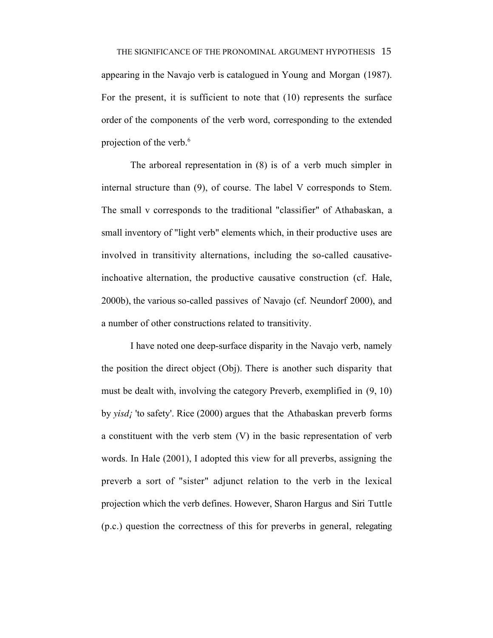THE SIGNIFICANCE OF THE PRONOMINAL ARGUMENT HYPOTHESIS 15 appearing in the Navajo verb is catalogued in Young and Morgan (1987). For the present, it is sufficient to note that (10) represents the surface order of the components of the verb word, corresponding to the extended projection of the verb.<sup>6</sup>

The arboreal representation in (8) is of a verb much simpler in internal structure than (9), of course. The label V corresponds to Stem. The small v corresponds to the traditional "classifier" of Athabaskan, a small inventory of "light verb" elements which, in their productive uses are involved in transitivity alternations, including the so-called causativeinchoative alternation, the productive causative construction (cf. Hale, 2000b), the various so-called passives of Navajo (cf. Neundorf 2000), and a number of other constructions related to transitivity.

I have noted one deep-surface disparity in the Navajo verb, namely the position the direct object (Obj). There is another such disparity that must be dealt with, involving the category Preverb, exemplified in (9, 10) by *yisd¡* 'to safety'. Rice (2000) argues that the Athabaskan preverb forms a constituent with the verb stem (V) in the basic representation of verb words. In Hale (2001), I adopted this view for all preverbs, assigning the preverb a sort of "sister" adjunct relation to the verb in the lexical projection which the verb defines. However, Sharon Hargus and Siri Tuttle (p.c.) question the correctness of this for preverbs in general, relegating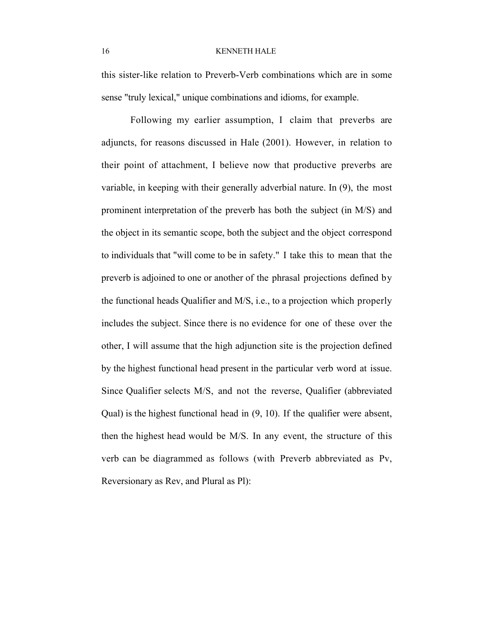this sister-like relation to Preverb-Verb combinations which are in some sense "truly lexical," unique combinations and idioms, for example.

Following my earlier assumption, I claim that preverbs are adjuncts, for reasons discussed in Hale (2001). However, in relation to their point of attachment, I believe now that productive preverbs are variable, in keeping with their generally adverbial nature. In (9), the most prominent interpretation of the preverb has both the subject (in M/S) and the object in its semantic scope, both the subject and the object correspond to individuals that "will come to be in safety." I take this to mean that the preverb is adjoined to one or another of the phrasal projections defined by the functional heads Qualifier and M/S, i.e., to a projection which properly includes the subject. Since there is no evidence for one of these over the other, I will assume that the high adjunction site is the projection defined by the highest functional head present in the particular verb word at issue. Since Qualifier selects M/S, and not the reverse, Qualifier (abbreviated Qual) is the highest functional head in (9, 10). If the qualifier were absent, then the highest head would be M/S. In any event, the structure of this verb can be diagrammed as follows (with Preverb abbreviated as Pv, Reversionary as Rev, and Plural as Pl):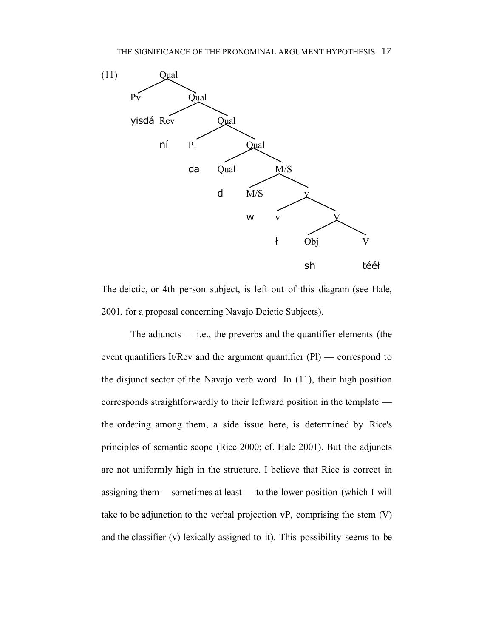

The deictic, or 4th person subject, is left out of this diagram (see Hale, 2001, for a proposal concerning Navajo Deictic Subjects).

The adjuncts  $\frac{d}{dx}$  i.e., the preverbs and the quantifier elements (the event quantifiers It/Rev and the argument quantifier (Pl) — correspond to the disjunct sector of the Navajo verb word. In (11), their high position corresponds straightforwardly to their leftward position in the template the ordering among them, a side issue here, is determined by Rice's principles of semantic scope (Rice 2000; cf. Hale 2001). But the adjuncts are not uniformly high in the structure. I believe that Rice is correct in assigning them —sometimes at least — to the lower position (which I will take to be adjunction to the verbal projection vP, comprising the stem (V) and the classifier (v) lexically assigned to it). This possibility seems to be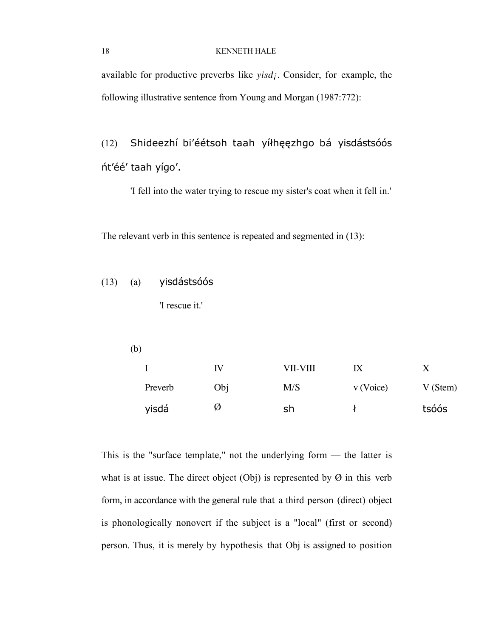available for productive preverbs like *yisd¡*. Consider, for example, the following illustrative sentence from Young and Morgan (1987:772):

(12) Shideezhí bi'éétsoh taah yíłhęęzhgo bá yisdástsóós nt'éé' taah yígo'.

'I fell into the water trying to rescue my sister's coat when it fell in.'

The relevant verb in this sentence is repeated and segmented in (13):

 $(13)$   $(a)$  yisdástsóós

'I rescue it.'

(b)

|         | ιv  | VII-VIII | IХ          |         |
|---------|-----|----------|-------------|---------|
| Preverb | Obj | M/S      | $v$ (Voice) | V(Stem) |
| yisdá   | Ø   | sh       |             | tsóós   |

This is the "surface template," not the underlying form — the latter is what is at issue. The direct object  $(Obj)$  is represented by  $\varnothing$  in this verb form, in accordance with the general rule that a third person (direct) object is phonologically nonovert if the subject is a "local" (first or second) person. Thus, it is merely by hypothesis that Obj is assigned to position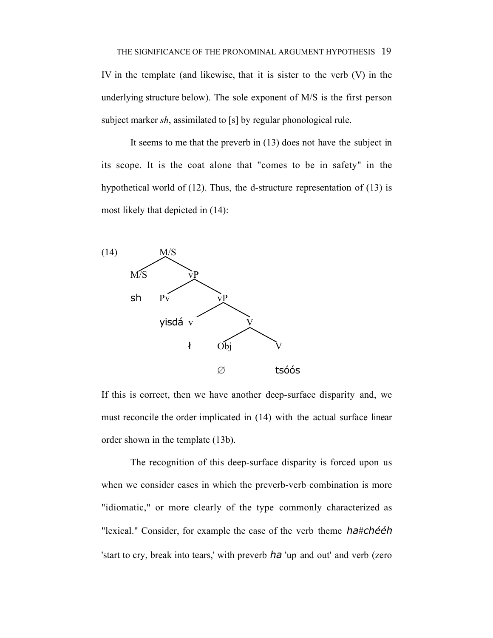IV in the template (and likewise, that it is sister to the verb (V) in the underlying structure below). The sole exponent of M/S is the first person subject marker *sh*, assimilated to [s] by regular phonological rule.

It seems to me that the preverb in (13) does not have the subject in its scope. It is the coat alone that "comes to be in safety" in the hypothetical world of (12). Thus, the d-structure representation of (13) is most likely that depicted in (14):



If this is correct, then we have another deep-surface disparity and, we must reconcile the order implicated in (14) with the actual surface linear order shown in the template (13b).

The recognition of this deep-surface disparity is forced upon us when we consider cases in which the preverb-verb combination is more "idiomatic," or more clearly of the type commonly characterized as "lexical." Consider, for example the case of the verb theme ha#chééh 'start to cry, break into tears,' with preverb ha 'up and out' and verb (zero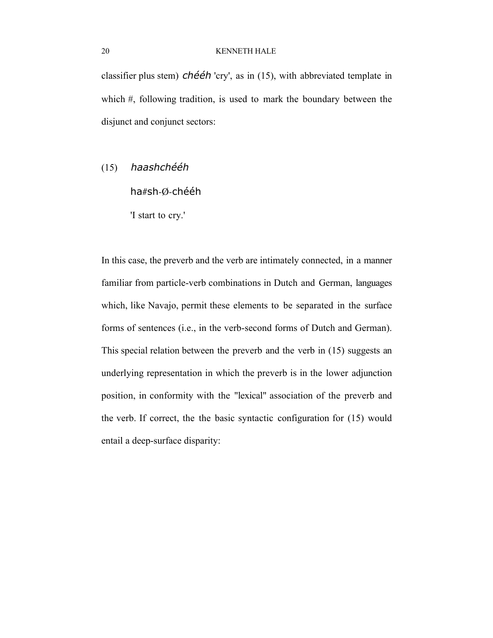classifier plus stem)  $ch\acute{e}eh$  'cry', as in (15), with abbreviated template in which #, following tradition, is used to mark the boundary between the disjunct and conjunct sectors:

# $(15)$  haashchééh

ha#sh-Ø-chééh

'I start to cry.'

In this case, the preverb and the verb are intimately connected, in a manner familiar from particle-verb combinations in Dutch and German, languages which, like Navajo, permit these elements to be separated in the surface forms of sentences (i.e., in the verb-second forms of Dutch and German). This special relation between the preverb and the verb in (15) suggests an underlying representation in which the preverb is in the lower adjunction position, in conformity with the "lexical" association of the preverb and the verb. If correct, the the basic syntactic configuration for (15) would entail a deep-surface disparity: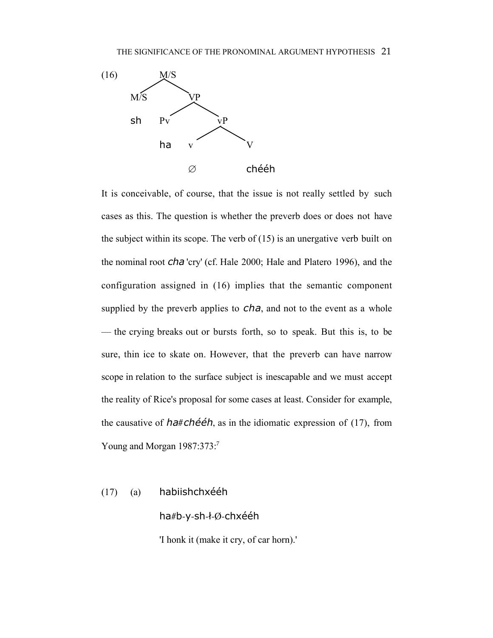

It is conceivable, of course, that the issue is not really settled by such cases as this. The question is whether the preverb does or does not have the subject within its scope. The verb of (15) is an unergative verb built on the nominal root cha 'cry' (cf. Hale 2000; Hale and Platero 1996), and the configuration assigned in (16) implies that the semantic component supplied by the preverb applies to  $cha$ , and not to the event as a whole — the crying breaks out or bursts forth, so to speak. But this is, to be sure, thin ice to skate on. However, that the preverb can have narrow scope in relation to the surface subject is inescapable and we must accept the reality of Rice's proposal for some cases at least. Consider for example, the causative of  $ha#ch\acute{e}eh$ , as in the idiomatic expression of (17), from Young and Morgan 1987:373:<sup>7</sup>

 $(17)$  (a) habiishchxééh

ha#b-y-sh-ł-Ø-chxééh

'I honk it (make it cry, of car horn).'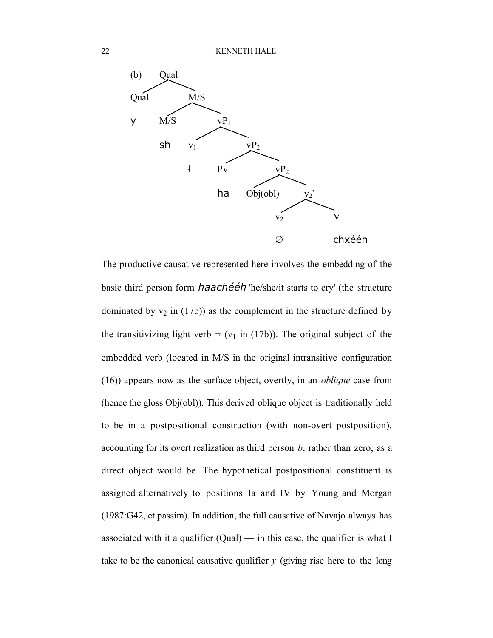

The productive causative represented here involves the embedding of the basic third person form *haachééh* 'he/she/it starts to cry' (the structure dominated by  $v_2$  in (17b)) as the complement in the structure defined by the transitivizing light verb  $\neg$  ( $v_1$  in (17b)). The original subject of the embedded verb (located in M/S in the original intransitive configuration (16)) appears now as the surface object, overtly, in an *oblique* case from (hence the gloss Obj(obl)). This derived oblique object is traditionally held to be in a postpositional construction (with non-overt postposition), accounting for its overt realization as third person *b*, rather than zero, as a direct object would be. The hypothetical postpositional constituent is assigned alternatively to positions Ia and IV by Young and Morgan (1987:G42, et passim). In addition, the full causative of Navajo always has associated with it a qualifier  $(Qual)$  — in this case, the qualifier is what I take to be the canonical causative qualifier *y* (giving rise here to the long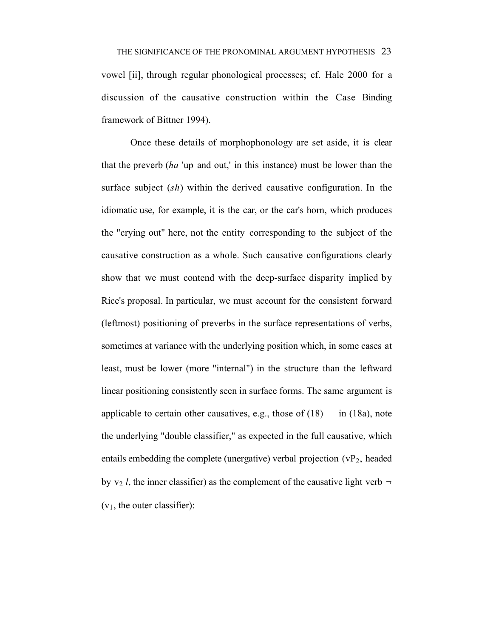discussion of the causative construction within the Case Binding framework of Bittner 1994).

Once these details of morphophonology are set aside, it is clear that the preverb (*ha* 'up and out,' in this instance) must be lower than the surface subject (*sh*) within the derived causative configuration. In the idiomatic use, for example, it is the car, or the car's horn, which produces the "crying out" here, not the entity corresponding to the subject of the causative construction as a whole. Such causative configurations clearly show that we must contend with the deep-surface disparity implied by Rice's proposal. In particular, we must account for the consistent forward (leftmost) positioning of preverbs in the surface representations of verbs, sometimes at variance with the underlying position which, in some cases at least, must be lower (more "internal") in the structure than the leftward linear positioning consistently seen in surface forms. The same argument is applicable to certain other causatives, e.g., those of  $(18)$  — in  $(18a)$ , note the underlying "double classifier," as expected in the full causative, which entails embedding the complete (unergative) verbal projection  $(vP_2)$ , headed by  $v_2$  *l*, the inner classifier) as the complement of the causative light verb  $\neg$  $(v_1,$  the outer classifier):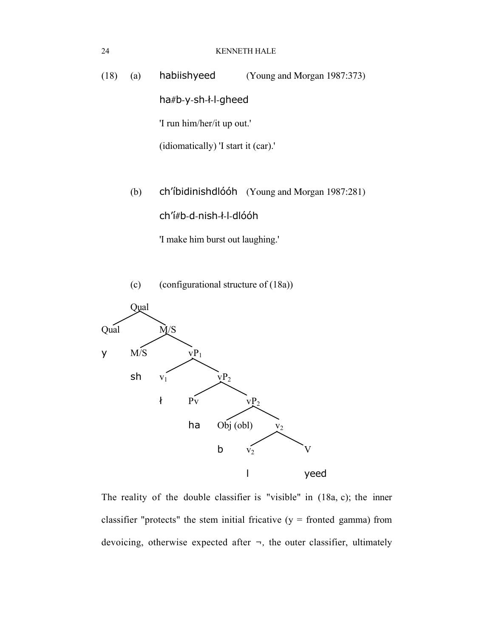(18) (a) habiishyeed (Young and Morgan 1987:373) ha#b-y-sh-ł-l-gheed 'I run him/her/it up out.' (idiomatically) 'I start it (car).'

> (b) ch'ibidinishdlooh (Young and Morgan 1987:281) ch'í#b-d-nish-ł-l-dlóóh

> > 'I make him burst out laughing.'





The reality of the double classifier is "visible" in (18a, c); the inner classifier "protects" the stem initial fricative  $(y =$  fronted gamma) from devoicing, otherwise expected after  $\neg$ , the outer classifier, ultimately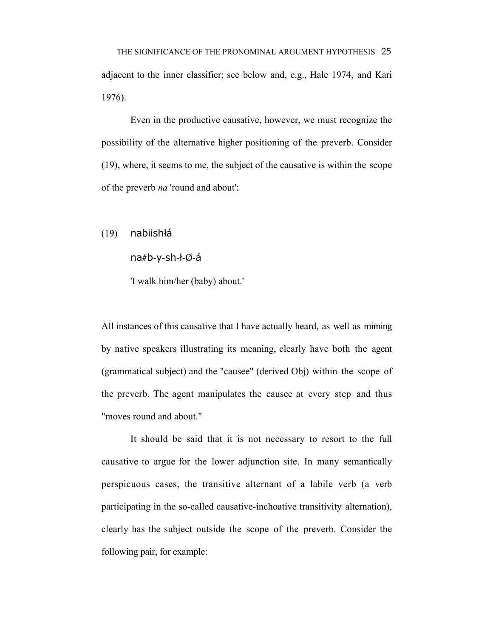Even in the productive causative, however, we must recognize the possibility of the alternative higher positioning of the preverb. Consider (19), where, it seems to me, the subject of the causative is within the scope of the preverb *na* 'round and about':

 $(19)$  nabiishłá

 $nab-y-sh-4$ 

'I walk him/her (baby) about.'

All instances of this causative that I have actually heard, as well as miming by native speakers illustrating its meaning, clearly have both the agent (grammatical subject) and the "causee" (derived Obj) within the scope of the preverb. The agent manipulates the causee at every step and thus "moves round and about."

It should be said that it is not necessary to resort to the full causative to argue for the lower adjunction site. In many semantically perspicuous cases, the transitive alternant of a labile verb (a verb participating in the so-called causative-inchoative transitivity alternation), clearly has the subject outside the scope of the preverb. Consider the following pair, for example: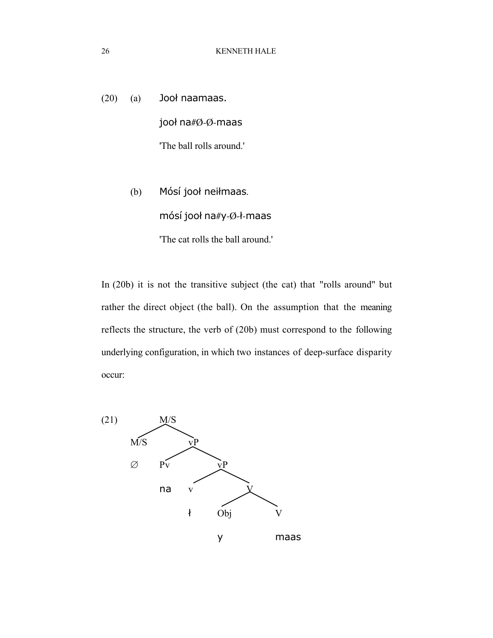$(20)$   $(a)$  Jook naamaas. jooł na#Ø-Ø-maas 'The ball rolls around.'

> (b) Mósí jooł neiłmaas. mósí jooł na#y-Ø-ł-maas 'The cat rolls the ball around.'

In (20b) it is not the transitive subject (the cat) that "rolls around" but rather the direct object (the ball). On the assumption that the meaning reflects the structure, the verb of (20b) must correspond to the following underlying configuration, in which two instances of deep-surface disparity occur:

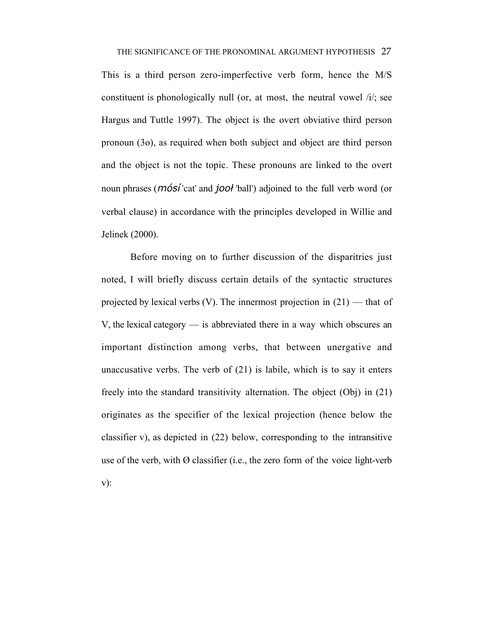This is a third person zero-imperfective verb form, hence the M/S constituent is phonologically null (or, at most, the neutral vowel /i/; see Hargus and Tuttle 1997). The object is the overt obviative third person pronoun (3o), as required when both subject and object are third person and the object is not the topic. These pronouns are linked to the overt noun phrases (*mósí* 'cat' and *jool* 'ball') adjoined to the full verb word (or verbal clause) in accordance with the principles developed in Willie and Jelinek (2000).

Before moving on to further discussion of the disparitries just noted, I will briefly discuss certain details of the syntactic structures projected by lexical verbs  $(V)$ . The innermost projection in  $(21)$  — that of V, the lexical category — is abbreviated there in a way which obscures an important distinction among verbs, that between unergative and unaccusative verbs. The verb of  $(21)$  is labile, which is to say it enters freely into the standard transitivity alternation. The object (Obj) in (21) originates as the specifier of the lexical projection (hence below the classifier v), as depicted in (22) below, corresponding to the intransitive use of the verb, with  $\emptyset$  classifier (i.e., the zero form of the voice light-verb v):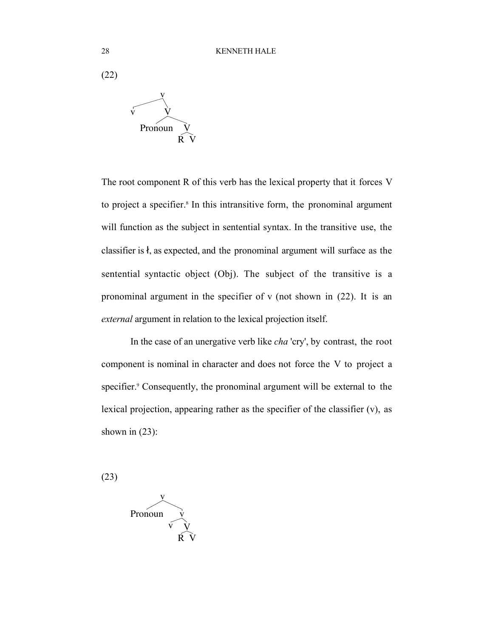

The root component R of this verb has the lexical property that it forces V to project a specifier.<sup>8</sup> In this intransitive form, the pronominal argument will function as the subject in sentential syntax. In the transitive use, the classifier is  $\hat{\mathbf{r}}$ , as expected, and the pronominal argument will surface as the sentential syntactic object (Obj). The subject of the transitive is a pronominal argument in the specifier of v (not shown in (22). It is an *external* argument in relation to the lexical projection itself.

In the case of an unergative verb like *cha* 'cry', by contrast, the root component is nominal in character and does not force the V to project a specifier.<sup>9</sup> Consequently, the pronominal argument will be external to the lexical projection, appearing rather as the specifier of the classifier (v), as shown in  $(23)$ :

(23)

$$
Pronoun \qquad \overbrace{v \quad \dot{V} \quad \dot{R} \quad \dot{V}}
$$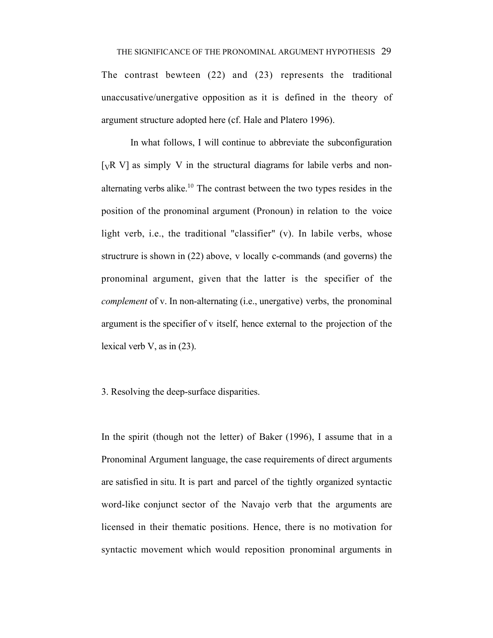The contrast bewteen (22) and (23) represents the traditional unaccusative/unergative opposition as it is defined in the theory of argument structure adopted here (cf. Hale and Platero 1996).

In what follows, I will continue to abbreviate the subconfiguration [ $vR$  V] as simply V in the structural diagrams for labile verbs and nonalternating verbs alike.<sup>10</sup> The contrast between the two types resides in the position of the pronominal argument (Pronoun) in relation to the voice light verb, i.e., the traditional "classifier" (v). In labile verbs, whose structrure is shown in (22) above, v locally c-commands (and governs) the pronominal argument, given that the latter is the specifier of the *complement* of v. In non-alternating (i.e., unergative) verbs, the pronominal argument is the specifier of v itself, hence external to the projection of the lexical verb V, as in (23).

3. Resolving the deep-surface disparities.

In the spirit (though not the letter) of Baker (1996), I assume that in a Pronominal Argument language, the case requirements of direct arguments are satisfied in situ. It is part and parcel of the tightly organized syntactic word-like conjunct sector of the Navajo verb that the arguments are licensed in their thematic positions. Hence, there is no motivation for syntactic movement which would reposition pronominal arguments in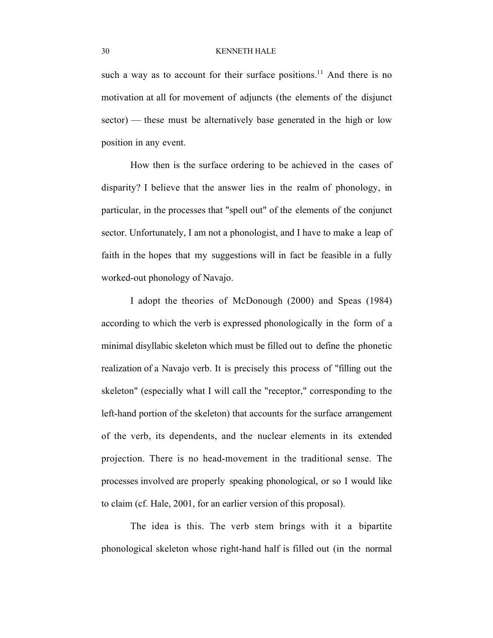such a way as to account for their surface positions.<sup>11</sup> And there is no motivation at all for movement of adjuncts (the elements of the disjunct sector) — these must be alternatively base generated in the high or low position in any event.

How then is the surface ordering to be achieved in the cases of disparity? I believe that the answer lies in the realm of phonology, in particular, in the processes that "spell out" of the elements of the conjunct sector. Unfortunately, I am not a phonologist, and I have to make a leap of faith in the hopes that my suggestions will in fact be feasible in a fully worked-out phonology of Navajo.

I adopt the theories of McDonough (2000) and Speas (1984) according to which the verb is expressed phonologically in the form of a minimal disyllabic skeleton which must be filled out to define the phonetic realization of a Navajo verb. It is precisely this process of "filling out the skeleton" (especially what I will call the "receptor," corresponding to the left-hand portion of the skeleton) that accounts for the surface arrangement of the verb, its dependents, and the nuclear elements in its extended projection. There is no head-movement in the traditional sense. The processes involved are properly speaking phonological, or so I would like to claim (cf. Hale, 2001, for an earlier version of this proposal).

The idea is this. The verb stem brings with it a bipartite phonological skeleton whose right-hand half is filled out (in the normal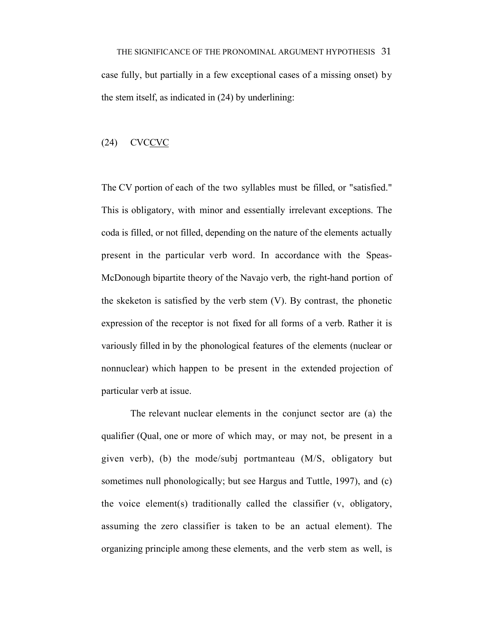THE SIGNIFICANCE OF THE PRONOMINAL ARGUMENT HYPOTHESIS 31 case fully, but partially in a few exceptional cases of a missing onset) by the stem itself, as indicated in (24) by underlining:

## (24) CVCCVC

The CV portion of each of the two syllables must be filled, or "satisfied." This is obligatory, with minor and essentially irrelevant exceptions. The coda is filled, or not filled, depending on the nature of the elements actually present in the particular verb word. In accordance with the Speas-McDonough bipartite theory of the Navajo verb, the right-hand portion of the skeketon is satisfied by the verb stem (V). By contrast, the phonetic expression of the receptor is not fixed for all forms of a verb. Rather it is variously filled in by the phonological features of the elements (nuclear or nonnuclear) which happen to be present in the extended projection of particular verb at issue.

The relevant nuclear elements in the conjunct sector are (a) the qualifier (Qual, one or more of which may, or may not, be present in a given verb), (b) the mode/subj portmanteau (M/S, obligatory but sometimes null phonologically; but see Hargus and Tuttle, 1997), and (c) the voice element(s) traditionally called the classifier (v, obligatory, assuming the zero classifier is taken to be an actual element). The organizing principle among these elements, and the verb stem as well, is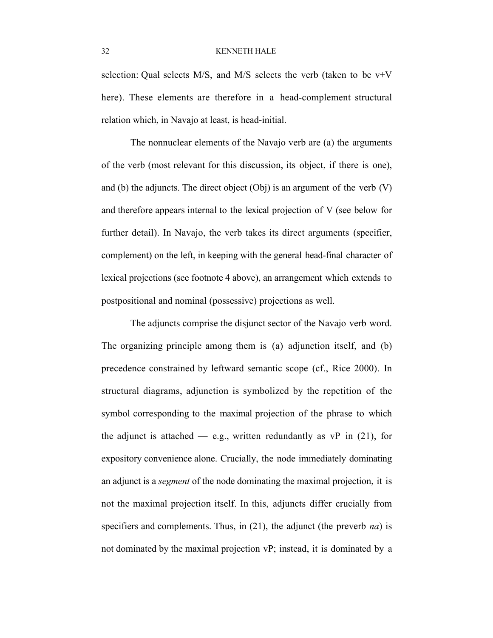selection: Qual selects  $M/S$ , and  $M/S$  selects the verb (taken to be  $v+V$ here). These elements are therefore in a head-complement structural relation which, in Navajo at least, is head-initial.

The nonnuclear elements of the Navajo verb are (a) the arguments of the verb (most relevant for this discussion, its object, if there is one), and (b) the adjuncts. The direct object  $(Obj)$  is an argument of the verb  $(V)$ and therefore appears internal to the lexical projection of V (see below for further detail). In Navajo, the verb takes its direct arguments (specifier, complement) on the left, in keeping with the general head-final character of lexical projections (see footnote 4 above), an arrangement which extends to postpositional and nominal (possessive) projections as well.

The adjuncts comprise the disjunct sector of the Navajo verb word. The organizing principle among them is (a) adjunction itself, and (b) precedence constrained by leftward semantic scope (cf., Rice 2000). In structural diagrams, adjunction is symbolized by the repetition of the symbol corresponding to the maximal projection of the phrase to which the adjunct is attached — e.g., written redundantly as  $vP$  in (21), for expository convenience alone. Crucially, the node immediately dominating an adjunct is a *segment* of the node dominating the maximal projection, it is not the maximal projection itself. In this, adjuncts differ crucially from specifiers and complements. Thus, in (21), the adjunct (the preverb *na*) is not dominated by the maximal projection vP; instead, it is dominated by a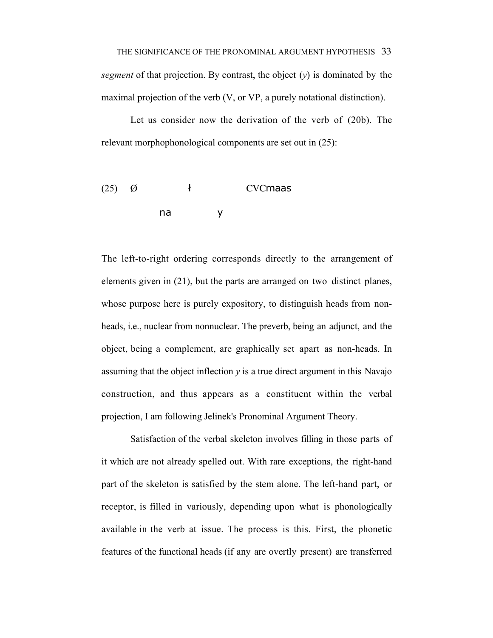Let us consider now the derivation of the verb of (20b). The relevant morphophonological components are set out in (25):

(25) 
$$
\emptyset
$$
 + CVCmaas  
na y

The left-to-right ordering corresponds directly to the arrangement of elements given in (21), but the parts are arranged on two distinct planes, whose purpose here is purely expository, to distinguish heads from nonheads, i.e., nuclear from nonnuclear. The preverb, being an adjunct, and the object, being a complement, are graphically set apart as non-heads. In assuming that the object inflection *y* is a true direct argument in this Navajo construction, and thus appears as a constituent within the verbal projection, I am following Jelinek's Pronominal Argument Theory.

Satisfaction of the verbal skeleton involves filling in those parts of it which are not already spelled out. With rare exceptions, the right-hand part of the skeleton is satisfied by the stem alone. The left-hand part, or receptor, is filled in variously, depending upon what is phonologically available in the verb at issue. The process is this. First, the phonetic features of the functional heads (if any are overtly present) are transferred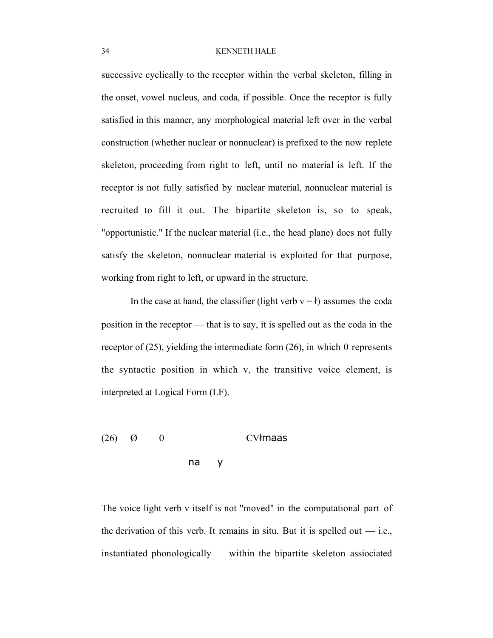successive cyclically to the receptor within the verbal skeleton, filling in the onset, vowel nucleus, and coda, if possible. Once the receptor is fully satisfied in this manner, any morphological material left over in the verbal construction (whether nuclear or nonnuclear) is prefixed to the now replete skeleton, proceeding from right to left, until no material is left. If the receptor is not fully satisfied by nuclear material, nonnuclear material is recruited to fill it out. The bipartite skeleton is, so to speak, "opportunistic." If the nuclear material (i.e., the head plane) does not fully satisfy the skeleton, nonnuclear material is exploited for that purpose, working from right to left, or upward in the structure.

In the case at hand, the classifier (light verb  $v = \mathbf{t}$ ) assumes the coda position in the receptor — that is to say, it is spelled out as the coda in the receptor of (25), yielding the intermediate form (26), in which 0 represents the syntactic position in which v, the transitive voice element, is interpreted at Logical Form (LF).

# $(26)$   $\emptyset$  0 CV $\{$ maas na y

The voice light verb v itself is not "moved" in the computational part of the derivation of this verb. It remains in situ. But it is spelled out  $-$  i.e., instantiated phonologically — within the bipartite skeleton assiociated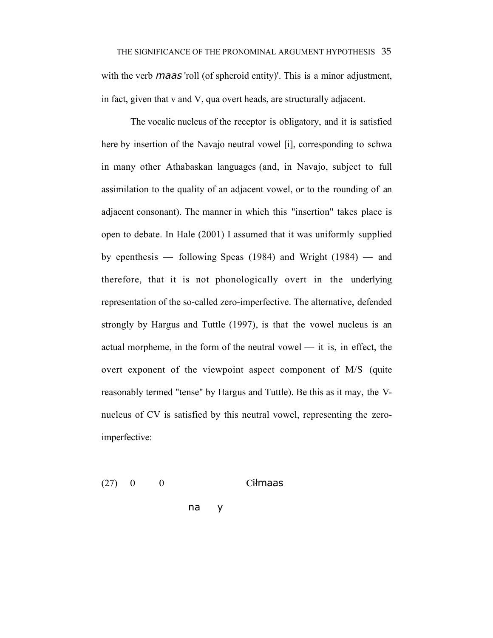with the verb *maas* 'roll (of spheroid entity)'. This is a minor adjustment, in fact, given that v and V, qua overt heads, are structurally adjacent.

The vocalic nucleus of the receptor is obligatory, and it is satisfied here by insertion of the Navajo neutral vowel [i], corresponding to schwa in many other Athabaskan languages (and, in Navajo, subject to full assimilation to the quality of an adjacent vowel, or to the rounding of an adjacent consonant). The manner in which this "insertion" takes place is open to debate. In Hale (2001) I assumed that it was uniformly supplied by epenthesis — following Speas (1984) and Wright (1984) — and therefore, that it is not phonologically overt in the underlying representation of the so-called zero-imperfective. The alternative, defended strongly by Hargus and Tuttle (1997), is that the vowel nucleus is an actual morpheme, in the form of the neutral vowel — it is, in effect, the overt exponent of the viewpoint aspect component of M/S (quite reasonably termed "tense" by Hargus and Tuttle). Be this as it may, the Vnucleus of CV is satisfied by this neutral vowel, representing the zeroimperfective:

 $(27)$  0 0 Cilmaas

na y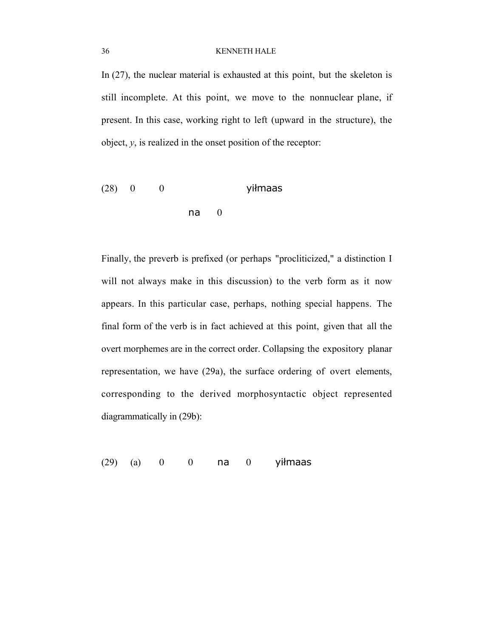In (27), the nuclear material is exhausted at this point, but the skeleton is still incomplete. At this point, we move to the nonnuclear plane, if present. In this case, working right to left (upward in the structure), the object, *y*, is realized in the onset position of the receptor:

$$
(28) 0 0
$$
 yilmaas  
na 0

Finally, the preverb is prefixed (or perhaps "procliticized," a distinction I will not always make in this discussion) to the verb form as it now appears. In this particular case, perhaps, nothing special happens. The final form of the verb is in fact achieved at this point, given that all the overt morphemes are in the correct order. Collapsing the expository planar representation, we have (29a), the surface ordering of overt elements, corresponding to the derived morphosyntactic object represented diagrammatically in (29b):

 $(29)$   $(a)$  0 0 na 0 yilmaas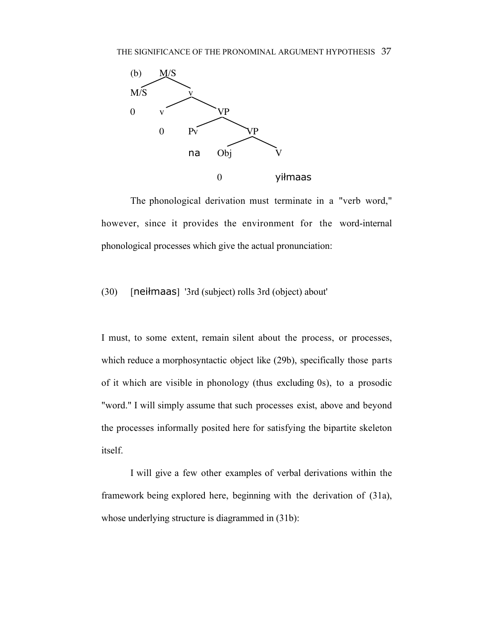

The phonological derivation must terminate in a "verb word," however, since it provides the environment for the word-internal phonological processes which give the actual pronunciation:

## $(30)$  [nei $\ell$ maas] '3rd (subject) rolls 3rd (object) about'

I must, to some extent, remain silent about the process, or processes, which reduce a morphosyntactic object like (29b), specifically those parts of it which are visible in phonology (thus excluding 0s), to a prosodic "word." I will simply assume that such processes exist, above and beyond the processes informally posited here for satisfying the bipartite skeleton itself.

I will give a few other examples of verbal derivations within the framework being explored here, beginning with the derivation of (31a), whose underlying structure is diagrammed in  $(31b)$ :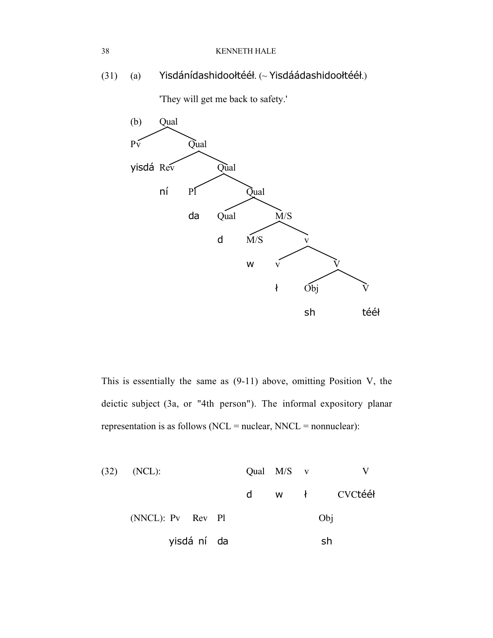(31) (a) Yisdánídashidooltéél. (~ Yisdáádashidooltéél.)

'They will get me back to safety.'



This is essentially the same as (9-11) above, omitting Position V, the deictic subject (3a, or "4th person"). The informal expository planar representation is as follows (NCL = nuclear, NNCL = nonnuclear):

| $(32)$ (NCL):     |   | Qual $M/S$ v |  |             |
|-------------------|---|--------------|--|-------------|
|                   | d |              |  | w ł CVCtééł |
| (NNCL): Pv Rev Pl |   | Obj          |  |             |
| yisdá ní da       |   | sh           |  |             |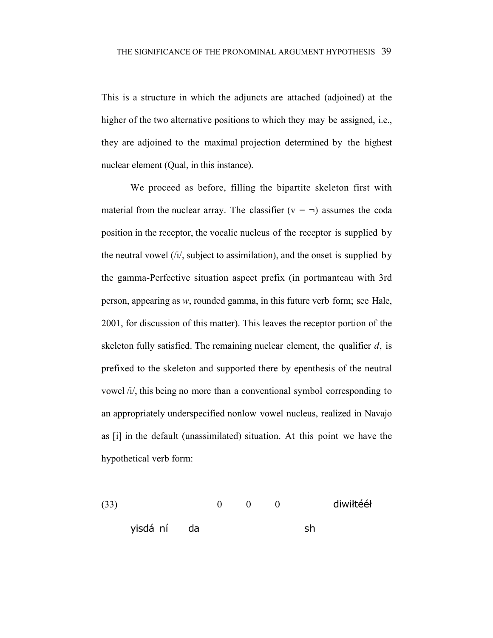This is a structure in which the adjuncts are attached (adjoined) at the higher of the two alternative positions to which they may be assigned, i.e., they are adjoined to the maximal projection determined by the highest nuclear element (Qual, in this instance).

We proceed as before, filling the bipartite skeleton first with material from the nuclear array. The classifier  $(v = \neg)$  assumes the coda position in the receptor, the vocalic nucleus of the receptor is supplied by the neutral vowel  $(i)$ , subject to assimilation), and the onset is supplied by the gamma-Perfective situation aspect prefix (in portmanteau with 3rd person, appearing as *w*, rounded gamma, in this future verb form; see Hale, 2001, for discussion of this matter). This leaves the receptor portion of the skeleton fully satisfied. The remaining nuclear element, the qualifier *d*, is prefixed to the skeleton and supported there by epenthesis of the neutral vowel /i/, this being no more than a conventional symbol corresponding to an appropriately underspecified nonlow vowel nucleus, realized in Navajo as [i] in the default (unassimilated) situation. At this point we have the hypothetical verb form:

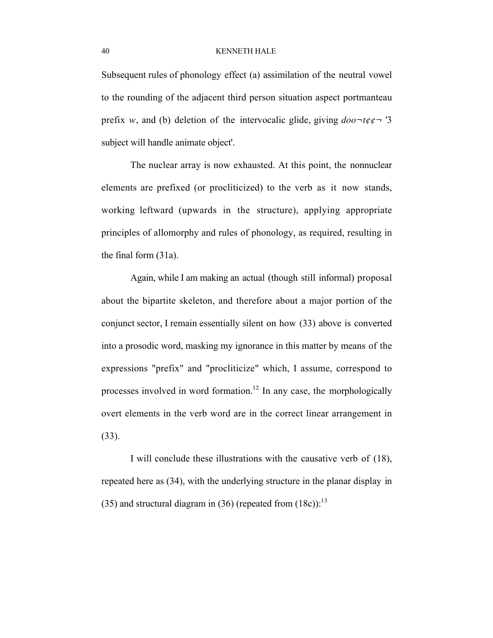Subsequent rules of phonology effect (a) assimilation of the neutral vowel to the rounding of the adjacent third person situation aspect portmanteau prefix *w*, and (b) deletion of the intervocalic glide, giving  $doo \neg t \phi \phi \neg t$  '3 subject will handle animate object'.

The nuclear array is now exhausted. At this point, the nonnuclear elements are prefixed (or procliticized) to the verb as it now stands, working leftward (upwards in the structure), applying appropriate principles of allomorphy and rules of phonology, as required, resulting in the final form (31a).

Again, while I am making an actual (though still informal) proposal about the bipartite skeleton, and therefore about a major portion of the conjunct sector, I remain essentially silent on how (33) above is converted into a prosodic word, masking my ignorance in this matter by means of the expressions "prefix" and "procliticize" which, I assume, correspond to processes involved in word formation.<sup>12</sup> In any case, the morphologically overt elements in the verb word are in the correct linear arrangement in (33).

I will conclude these illustrations with the causative verb of (18), repeated here as (34), with the underlying structure in the planar display in (35) and structural diagram in (36) (repeated from  $(18c)$ ):<sup>13</sup>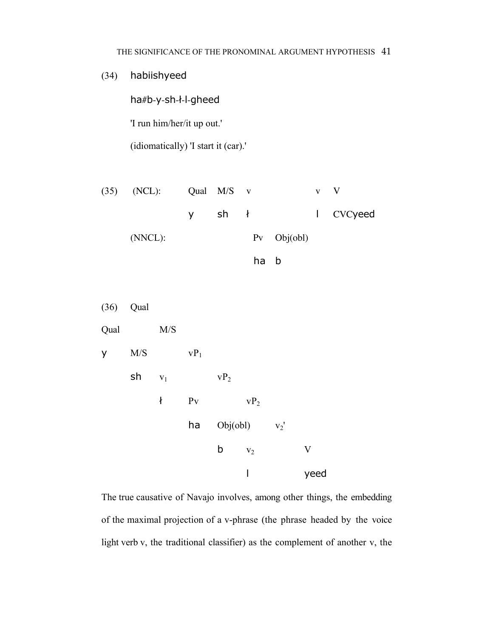(34) habiishyeed

ha#b-y-sh-ł-l-gheed

'I run him/her/it up out.'

(idiomatically) 'I start it (car).'

| $(35)$ (NCL): | Qual M/S v |                     |  |                     | $\mathbf{v} \quad \mathbf{V}$ |
|---------------|------------|---------------------|--|---------------------|-------------------------------|
|               |            | $y$ sh $\downarrow$ |  |                     | l CVCyeed                     |
| $(NNCL)$ :    |            |                     |  | $Pv \quad Obj(obj)$ |                               |

ha b



The true causative of Navajo involves, among other things, the embedding of the maximal projection of a v-phrase (the phrase headed by the voice light verb v, the traditional classifier) as the complement of another v, the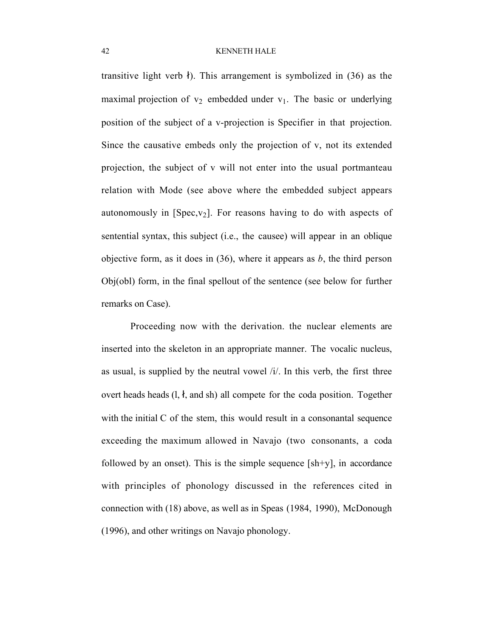transitive light verb  $\ell$ ). This arrangement is symbolized in (36) as the maximal projection of  $v_2$  embedded under  $v_1$ . The basic or underlying position of the subject of a v-projection is Specifier in that projection. Since the causative embeds only the projection of v, not its extended projection, the subject of v will not enter into the usual portmanteau relation with Mode (see above where the embedded subject appears autonomously in [Spec,  $v_2$ ]. For reasons having to do with aspects of sentential syntax, this subject (i.e., the causee) will appear in an oblique objective form, as it does in  $(36)$ , where it appears as *b*, the third person Obj(obl) form, in the final spellout of the sentence (see below for further remarks on Case).

Proceeding now with the derivation. the nuclear elements are inserted into the skeleton in an appropriate manner. The vocalic nucleus, as usual, is supplied by the neutral vowel /i/. In this verb, the first three overt heads heads  $(l, \mathbf{t})$ , and sh) all compete for the coda position. Together with the initial C of the stem, this would result in a consonantal sequence exceeding the maximum allowed in Navajo (two consonants, a coda followed by an onset). This is the simple sequence  $[sh+y]$ , in accordance with principles of phonology discussed in the references cited in connection with (18) above, as well as in Speas (1984, 1990), McDonough (1996), and other writings on Navajo phonology.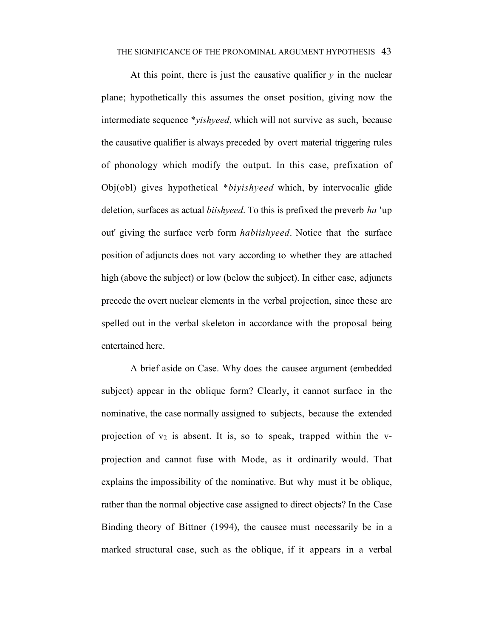#### THE SIGNIFICANCE OF THE PRONOMINAL ARGUMENT HYPOTHESIS 43

At this point, there is just the causative qualifier  $y$  in the nuclear plane; hypothetically this assumes the onset position, giving now the intermediate sequence \**yishyeed*, which will not survive as such, because the causative qualifier is always preceded by overt material triggering rules of phonology which modify the output. In this case, prefixation of Obj(obl) gives hypothetical \**biyishyeed* which, by intervocalic glide deletion, surfaces as actual *biishyeed*. To this is prefixed the preverb *ha* 'up out' giving the surface verb form *habiishyeed*. Notice that the surface position of adjuncts does not vary according to whether they are attached high (above the subject) or low (below the subject). In either case, adjuncts precede the overt nuclear elements in the verbal projection, since these are spelled out in the verbal skeleton in accordance with the proposal being entertained here.

A brief aside on Case. Why does the causee argument (embedded subject) appear in the oblique form? Clearly, it cannot surface in the nominative, the case normally assigned to subjects, because the extended projection of  $v_2$  is absent. It is, so to speak, trapped within the vprojection and cannot fuse with Mode, as it ordinarily would. That explains the impossibility of the nominative. But why must it be oblique, rather than the normal objective case assigned to direct objects? In the Case Binding theory of Bittner (1994), the causee must necessarily be in a marked structural case, such as the oblique, if it appears in a verbal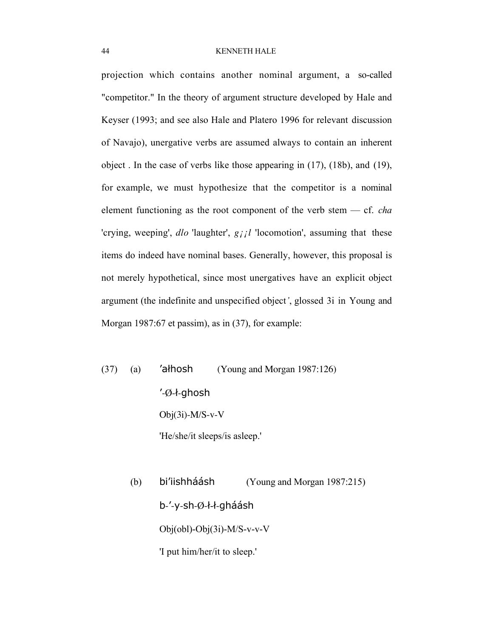projection which contains another nominal argument, a so-called "competitor." In the theory of argument structure developed by Hale and Keyser (1993; and see also Hale and Platero 1996 for relevant discussion of Navajo), unergative verbs are assumed always to contain an inherent object . In the case of verbs like those appearing in (17), (18b), and (19), for example, we must hypothesize that the competitor is a nominal element functioning as the root component of the verb stem — cf. *cha* 'crying, weeping', *dlo* 'laughter', *g¡¡l* 'locomotion', assuming that these items do indeed have nominal bases. Generally, however, this proposal is not merely hypothetical, since most unergatives have an explicit object argument (the indefinite and unspecified object*'*, glossed 3i in Young and Morgan 1987:67 et passim), as in (37), for example:

- $(37)$  (a) 'alhosh (Young and Morgan 1987:126)  $'$ -Ø- $t$ -ghosh  $Obj(3i)$ -M/S-v-V 'He/she/it sleeps/is asleep.'
	- (b) bi'iishhand bi'iishhand (Young and Morgan 1987:215)  $b$ -'-y-sh-Ø-ł-ł-gháásh Obj(obl)-Obj(3i)-M/S-v-v-V 'I put him/her/it to sleep.'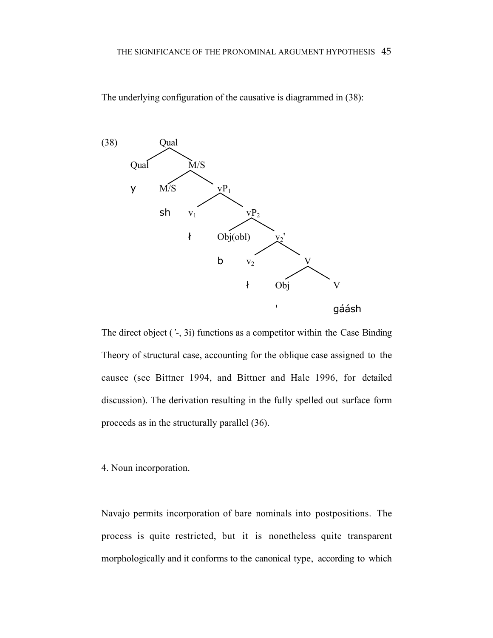The underlying configuration of the causative is diagrammed in (38):



The direct object (*'-*, 3i) functions as a competitor within the Case Binding Theory of structural case, accounting for the oblique case assigned to the causee (see Bittner 1994, and Bittner and Hale 1996, for detailed discussion). The derivation resulting in the fully spelled out surface form proceeds as in the structurally parallel (36).

4. Noun incorporation.

Navajo permits incorporation of bare nominals into postpositions. The process is quite restricted, but it is nonetheless quite transparent morphologically and it conforms to the canonical type, according to which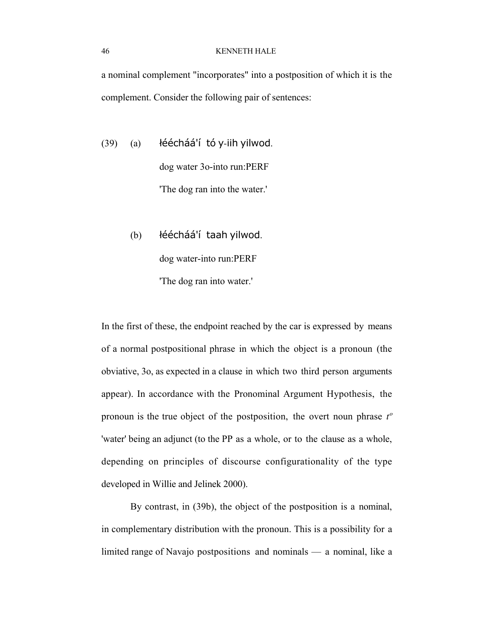a nominal complement "incorporates" into a postposition of which it is the complement. Consider the following pair of sentences:

 $(39)$  (a) léécháá'í tó y-iih yilwod. dog water 3o-into run:PERF 'The dog ran into the water.'

> (b) léécháá'í taah yilwod. dog water-into run:PERF 'The dog ran into water.'

In the first of these, the endpoint reached by the car is expressed by means of a normal postpositional phrase in which the object is a pronoun (the obviative, 3o, as expected in a clause in which two third person arguments appear). In accordance with the Pronominal Argument Hypothesis, the pronoun is the true object of the postposition, the overt noun phrase *tº* 'water' being an adjunct (to the PP as a whole, or to the clause as a whole, depending on principles of discourse configurationality of the type developed in Willie and Jelinek 2000).

By contrast, in (39b), the object of the postposition is a nominal, in complementary distribution with the pronoun. This is a possibility for a limited range of Navajo postpositions and nominals — a nominal, like a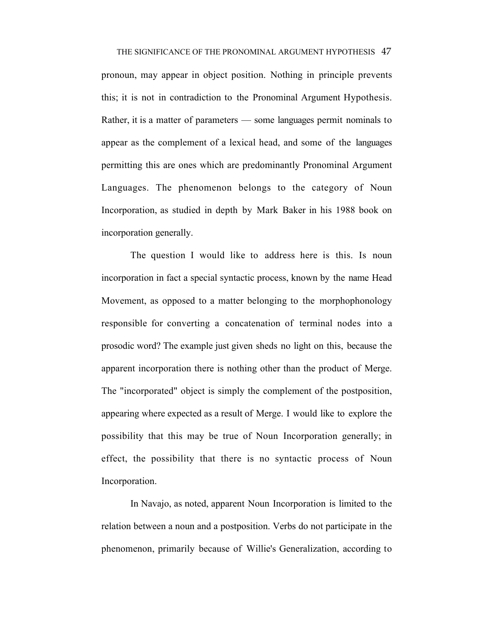THE SIGNIFICANCE OF THE PRONOMINAL ARGUMENT HYPOTHESIS 47 pronoun, may appear in object position. Nothing in principle prevents this; it is not in contradiction to the Pronominal Argument Hypothesis. Rather, it is a matter of parameters — some languages permit nominals to appear as the complement of a lexical head, and some of the languages permitting this are ones which are predominantly Pronominal Argument Languages. The phenomenon belongs to the category of Noun Incorporation, as studied in depth by Mark Baker in his 1988 book on incorporation generally.

The question I would like to address here is this. Is noun incorporation in fact a special syntactic process, known by the name Head Movement, as opposed to a matter belonging to the morphophonology responsible for converting a concatenation of terminal nodes into a prosodic word? The example just given sheds no light on this, because the apparent incorporation there is nothing other than the product of Merge. The "incorporated" object is simply the complement of the postposition, appearing where expected as a result of Merge. I would like to explore the possibility that this may be true of Noun Incorporation generally; in effect, the possibility that there is no syntactic process of Noun Incorporation.

In Navajo, as noted, apparent Noun Incorporation is limited to the relation between a noun and a postposition. Verbs do not participate in the phenomenon, primarily because of Willie's Generalization, according to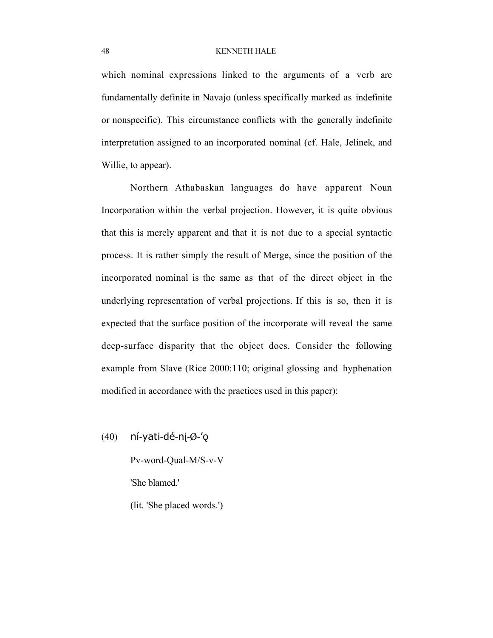which nominal expressions linked to the arguments of a verb are fundamentally definite in Navajo (unless specifically marked as indefinite or nonspecific). This circumstance conflicts with the generally indefinite interpretation assigned to an incorporated nominal (cf. Hale, Jelinek, and Willie, to appear).

Northern Athabaskan languages do have apparent Noun Incorporation within the verbal projection. However, it is quite obvious that this is merely apparent and that it is not due to a special syntactic process. It is rather simply the result of Merge, since the position of the incorporated nominal is the same as that of the direct object in the underlying representation of verbal projections. If this is so, then it is expected that the surface position of the incorporate will reveal the same deep-surface disparity that the object does. Consider the following example from Slave (Rice 2000:110; original glossing and hyphenation modified in accordance with the practices used in this paper):

 $(40)$  ní-yati-dé-nj- $\emptyset$ -'o

Pv-word-Qual-M/S-v-V 'She blamed.'

(lit. 'She placed words.')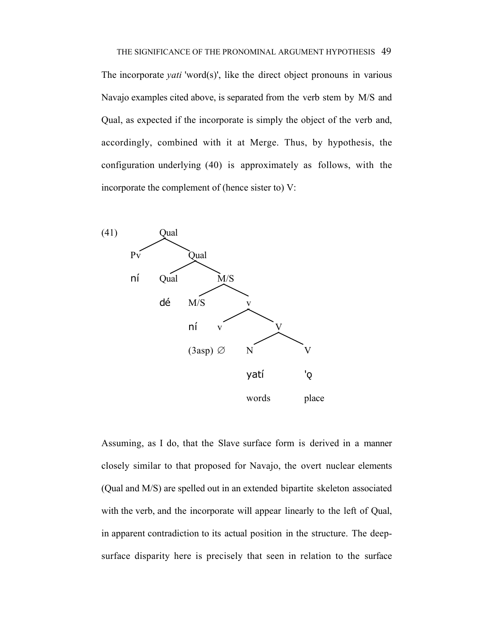The incorporate *yati* 'word(s)', like the direct object pronouns in various Navajo examples cited above, is separated from the verb stem by M/S and Qual, as expected if the incorporate is simply the object of the verb and, accordingly, combined with it at Merge. Thus, by hypothesis, the configuration underlying (40) is approximately as follows, with the incorporate the complement of (hence sister to) V:



Assuming, as I do, that the Slave surface form is derived in a manner closely similar to that proposed for Navajo, the overt nuclear elements (Qual and M/S) are spelled out in an extended bipartite skeleton associated with the verb, and the incorporate will appear linearly to the left of Qual, in apparent contradiction to its actual position in the structure. The deepsurface disparity here is precisely that seen in relation to the surface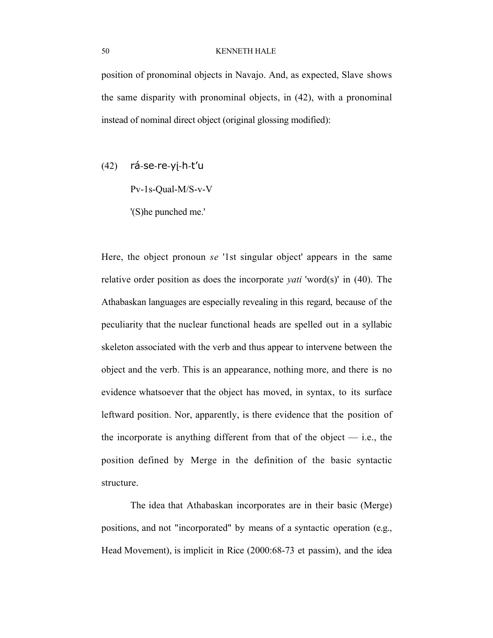position of pronominal objects in Navajo. And, as expected, Slave shows the same disparity with pronominal objects, in (42), with a pronominal instead of nominal direct object (original glossing modified):

 $(42)$  rá-se-re-yj-h-t'u

Pv-1s-Qual-M/S-v-V

'(S)he punched me.'

Here, the object pronoun *se* '1st singular object' appears in the same relative order position as does the incorporate *yati* 'word(s)' in (40). The Athabaskan languages are especially revealing in this regard, because of the peculiarity that the nuclear functional heads are spelled out in a syllabic skeleton associated with the verb and thus appear to intervene between the object and the verb. This is an appearance, nothing more, and there is no evidence whatsoever that the object has moved, in syntax, to its surface leftward position. Nor, apparently, is there evidence that the position of the incorporate is anything different from that of the object  $-$  i.e., the position defined by Merge in the definition of the basic syntactic structure.

The idea that Athabaskan incorporates are in their basic (Merge) positions, and not "incorporated" by means of a syntactic operation (e.g., Head Movement), is implicit in Rice (2000:68-73 et passim), and the idea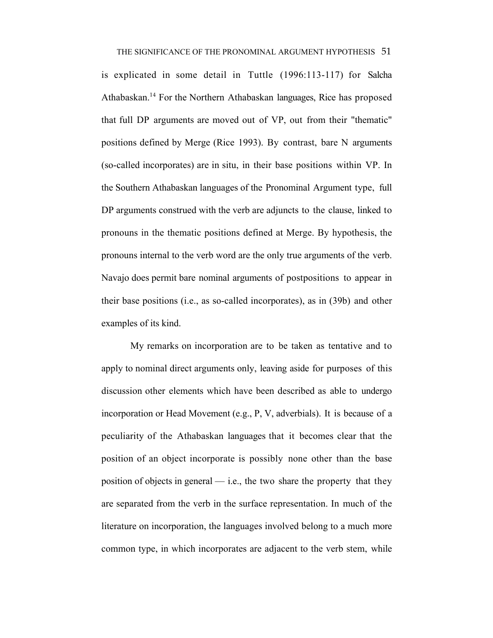#### THE SIGNIFICANCE OF THE PRONOMINAL ARGUMENT HYPOTHESIS 51

is explicated in some detail in Tuttle (1996:113-117) for Salcha Athabaskan.<sup>14</sup> For the Northern Athabaskan languages, Rice has proposed that full DP arguments are moved out of VP, out from their "thematic" positions defined by Merge (Rice 1993). By contrast, bare N arguments (so-called incorporates) are in situ, in their base positions within VP. In the Southern Athabaskan languages of the Pronominal Argument type, full DP arguments construed with the verb are adjuncts to the clause, linked to pronouns in the thematic positions defined at Merge. By hypothesis, the pronouns internal to the verb word are the only true arguments of the verb. Navajo does permit bare nominal arguments of postpositions to appear in their base positions (i.e., as so-called incorporates), as in (39b) and other examples of its kind.

My remarks on incorporation are to be taken as tentative and to apply to nominal direct arguments only, leaving aside for purposes of this discussion other elements which have been described as able to undergo incorporation or Head Movement (e.g., P, V, adverbials). It is because of a peculiarity of the Athabaskan languages that it becomes clear that the position of an object incorporate is possibly none other than the base position of objects in general — i.e., the two share the property that they are separated from the verb in the surface representation. In much of the literature on incorporation, the languages involved belong to a much more common type, in which incorporates are adjacent to the verb stem, while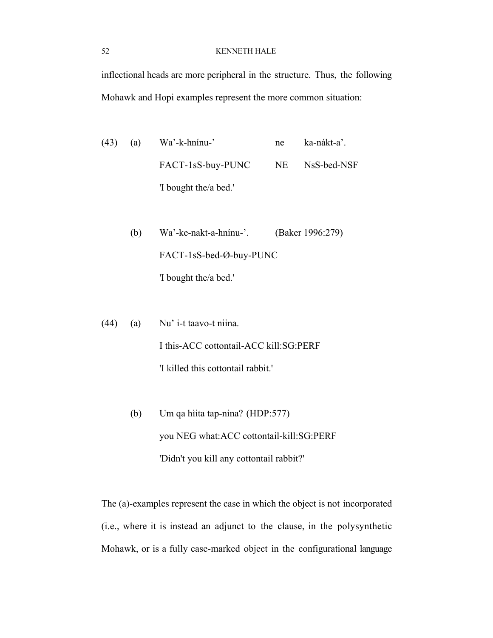inflectional heads are more peripheral in the structure. Thus, the following Mohawk and Hopi examples represent the more common situation:

(43) (a) Wa'-k-hnínu-' ne ka-nákt-a'. FACT-1sS-buy-PUNC NE NsS-bed-NSF 'I bought the/a bed.'

> (b) Wa'-ke-nakt-a-hnínu-'. (Baker 1996:279) FACT-1sS-bed-Ø-buy-PUNC 'I bought the/a bed.'

(44) (a) Nu' i-t taavo-t niina. I this-ACC cottontail-ACC kill:SG:PERF 'I killed this cottontail rabbit.'

> (b) Um qa hìita tap-nina? (HDP:577) you NEG what:ACC cottontail-kill:SG:PERF 'Didn't you kill any cottontail rabbit?'

The (a)-examples represent the case in which the object is not incorporated (i.e., where it is instead an adjunct to the clause, in the polysynthetic Mohawk, or is a fully case-marked object in the configurational language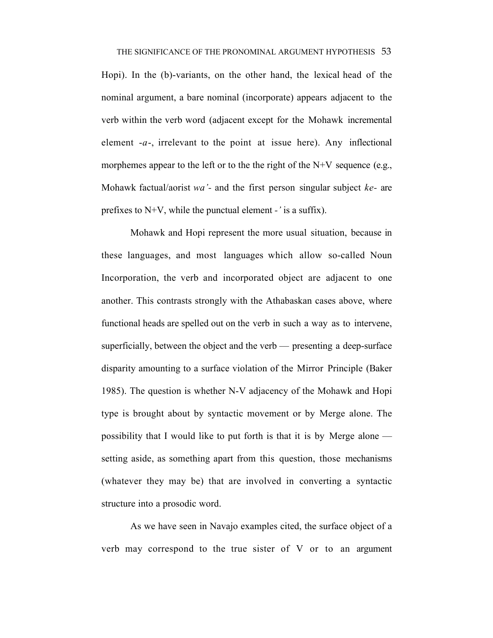Hopi). In the (b)-variants, on the other hand, the lexical head of the nominal argument, a bare nominal (incorporate) appears adjacent to the verb within the verb word (adjacent except for the Mohawk incremental element -*a*-, irrelevant to the point at issue here). Any inflectional morphemes appear to the left or to the the right of the  $N+V$  sequence (e.g., Mohawk factual/aorist *wa'-* and the first person singular subject *ke-* are prefixes to N+V, while the punctual element *-'* is a suffix).

Mohawk and Hopi represent the more usual situation, because in these languages, and most languages which allow so-called Noun Incorporation, the verb and incorporated object are adjacent to one another. This contrasts strongly with the Athabaskan cases above, where functional heads are spelled out on the verb in such a way as to intervene, superficially, between the object and the verb — presenting a deep-surface disparity amounting to a surface violation of the Mirror Principle (Baker 1985). The question is whether N-V adjacency of the Mohawk and Hopi type is brought about by syntactic movement or by Merge alone. The possibility that I would like to put forth is that it is by Merge alone setting aside, as something apart from this question, those mechanisms (whatever they may be) that are involved in converting a syntactic structure into a prosodic word.

As we have seen in Navajo examples cited, the surface object of a verb may correspond to the true sister of V or to an argument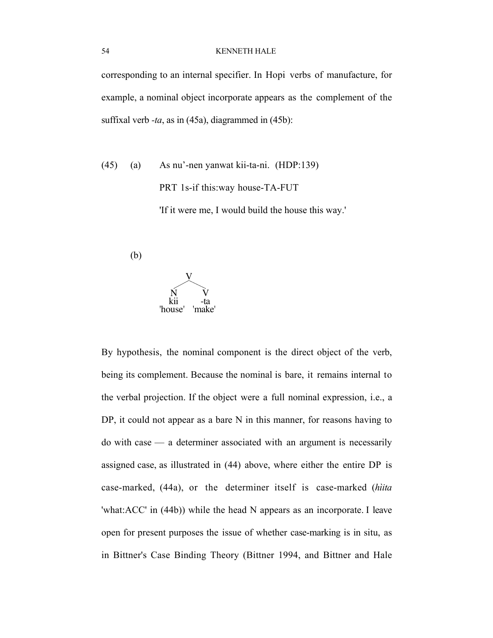corresponding to an internal specifier. In Hopi verbs of manufacture, for example, a nominal object incorporate appears as the complement of the suffixal verb  $-ta$ , as in (45a), diagrammed in (45b):

(45) (a) As nu'-nen yanwat kii-ta-ni. (HDP:139) PRT 1s-if this:way house-TA-FUT 'If it were me, I would build the house this way.'

(b)



By hypothesis, the nominal component is the direct object of the verb, being its complement. Because the nominal is bare, it remains internal to the verbal projection. If the object were a full nominal expression, i.e., a DP, it could not appear as a bare N in this manner, for reasons having to do with case — a determiner associated with an argument is necessarily assigned case, as illustrated in (44) above, where either the entire DP is case-marked, (44a), or the determiner itself is case-marked (*hìita* 'what:ACC' in (44b)) while the head N appears as an incorporate. I leave open for present purposes the issue of whether case-marking is in situ, as in Bittner's Case Binding Theory (Bittner 1994, and Bittner and Hale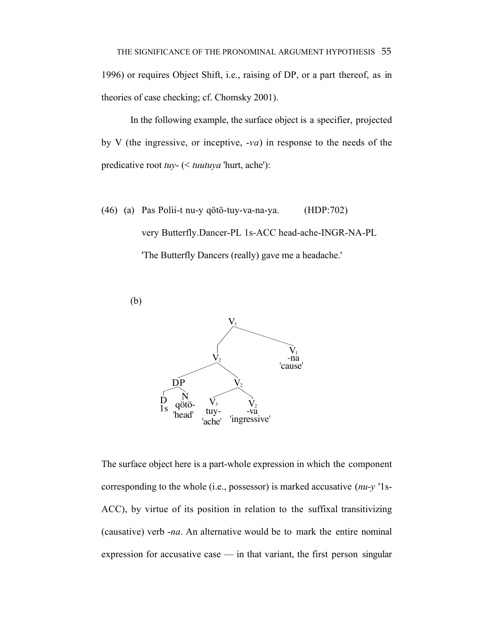In the following example, the surface object is a specifier, projected by V (the ingressive, or inceptive, -*va*) in response to the needs of the predicative root *tuy*- (< *tuutuya* 'hurt, ache'):

(46) (a) Pas Polìi-t nu-y qötö-tuy-va-na-ya. (HDP:702) very Butterfly.Dancer-PL 1s-ACC head-ache-INGR-NA-PL 'The Butterfly Dancers (really) gave me a headache.'



The surface object here is a part-whole expression in which the component corresponding to the whole (i.e., possessor) is marked accusative (*nu-y* '1s-ACC), by virtue of its position in relation to the suffixal transitivizing (causative) verb -*na*. An alternative would be to mark the entire nominal expression for accusative case — in that variant, the first person singular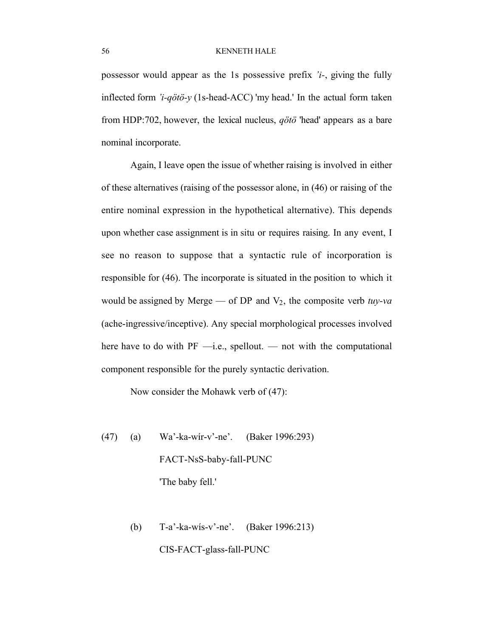possessor would appear as the 1s possessive prefix *'i-*, giving the fully inflected form *'i-qötö-y* (1s-head-ACC) 'my head.' In the actual form taken from HDP:702, however, the lexical nucleus, *qötö* 'head' appears as a bare nominal incorporate.

Again, I leave open the issue of whether raising is involved in either of these alternatives (raising of the possessor alone, in (46) or raising of the entire nominal expression in the hypothetical alternative). This depends upon whether case assignment is in situ or requires raising. In any event, I see no reason to suppose that a syntactic rule of incorporation is responsible for (46). The incorporate is situated in the position to which it would be assigned by Merge — of DP and  $V_2$ , the composite verb *tuy-va* (ache-ingressive/inceptive). Any special morphological processes involved here have to do with  $PF$  —i.e., spellout. — not with the computational component responsible for the purely syntactic derivation.

Now consider the Mohawk verb of (47):

- (47) (a) Wa'-ka-wír-v'-ne'. (Baker 1996:293) FACT-NsS-baby-fall-PUNC 'The baby fell.'
	- (b) T-a'-ka-wís-v'-ne'. (Baker 1996:213)

CIS-FACT-glass-fall-PUNC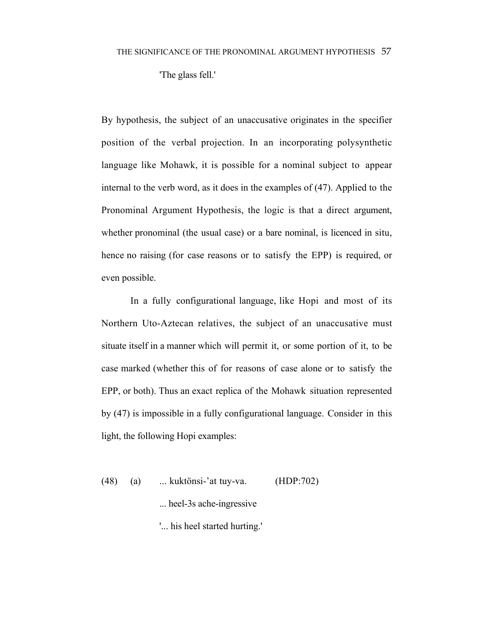'The glass fell.'

By hypothesis, the subject of an unaccusative originates in the specifier position of the verbal projection. In an incorporating polysynthetic language like Mohawk, it is possible for a nominal subject to appear internal to the verb word, as it does in the examples of (47). Applied to the Pronominal Argument Hypothesis, the logic is that a direct argument, whether pronominal (the usual case) or a bare nominal, is licenced in situ, hence no raising (for case reasons or to satisfy the EPP) is required, or even possible.

In a fully configurational language, like Hopi and most of its Northern Uto-Aztecan relatives, the subject of an unaccusative must situate itself in a manner which will permit it, or some portion of it, to be case marked (whether this of for reasons of case alone or to satisfy the EPP, or both). Thus an exact replica of the Mohawk situation represented by (47) is impossible in a fully configurational language. Consider in this light, the following Hopi examples:

(48) (a) ... kuktönsi-'at tuy-va. (HDP:702)

... heel-3s ache-ingressive

'... his heel started hurting.'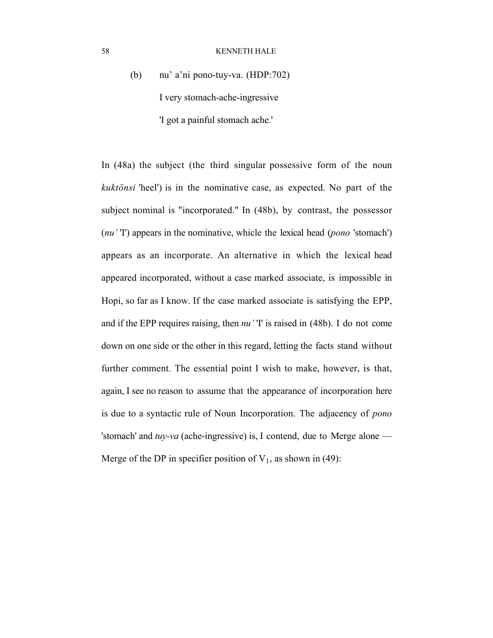# (b) nu' a'ni pono-tuy-va. (HDP:702) I very stomach-ache-ingressive 'I got a painful stomach ache.'

In (48a) the subject (the third singular possessive form of the noun *kuktönsi* 'heel') is in the nominative case, as expected. No part of the subject nominal is "incorporated." In (48b), by contrast, the possessor (*nu'* 'I') appears in the nominative, whicle the lexical head (*pono* 'stomach') appears as an incorporate. An alternative in which the lexical head appeared incorporated, without a case marked associate, is impossible in Hopi, so far as I know. If the case marked associate is satisfying the EPP, and if the EPP requires raising, then *nu'* 'I' is raised in (48b). I do not come down on one side or the other in this regard, letting the facts stand without further comment. The essential point I wish to make, however, is that, again, I see no reason to assume that the appearance of incorporation here is due to a syntactic rule of Noun Incorporation. The adjacency of *pono* 'stomach' and *tuy-va* (ache-ingressive) is, I contend, due to Merge alone — Merge of the DP in specifier position of  $V_1$ , as shown in (49):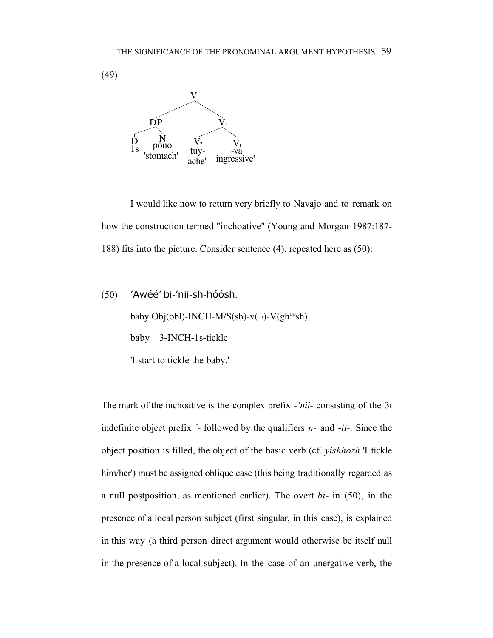(49)



I would like now to return very briefly to Navajo and to remark on how the construction termed "inchoative" (Young and Morgan 1987:187- 188) fits into the picture. Consider sentence (4), repeated here as (50):

```
(50) 'Awéé' bi-'nii-sh-hóósh.
baby Obj(obl)-INCH-M/S(sh)-v(¬)-V(gh<sup>oo</sup>sh)
baby 3-INCH-1s-tickle
'I start to tickle the baby.'
```
The mark of the inchoative is the complex prefix -*'nii*- consisting of the 3i indefinite object prefix *'-* followed by the qualifiers *n-* and -*ii-*. Since the object position is filled, the object of the basic verb (cf. *yishhozh* 'I tickle him/her') must be assigned oblique case (this being traditionally regarded as a null postposition, as mentioned earlier). The overt *bi*- in (50), in the presence of a local person subject (first singular, in this case), is explained in this way (a third person direct argument would otherwise be itself null in the presence of a local subject). In the case of an unergative verb, the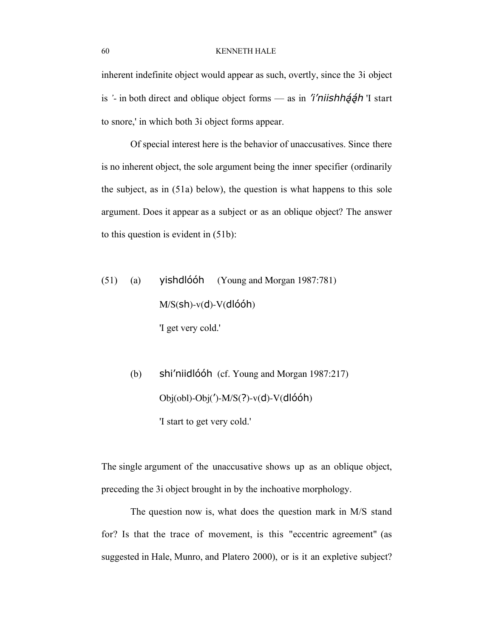inherent indefinite object would appear as such, overtly, since the 3i object is *'*- in both direct and oblique object forms — as in 'i'niishhaan' I start to snore,' in which both 3i object forms appear.

Of special interest here is the behavior of unaccusatives. Since there is no inherent object, the sole argument being the inner specifier (ordinarily the subject, as in (51a) below), the question is what happens to this sole argument. Does it appear as a subject or as an oblique object? The answer to this question is evident in (51b):

- $(51)$  (a) yishdlóóh (Young and Morgan 1987:781)  $M/S(\text{sh})-v(\text{d})-V(\text{dlóóh})$ 'I get very cold.'
	- (b) shi'niidlóóh (cf. Young and Morgan 1987:217)  $Obj(obj)-Obj(')-M/S(?)-v(d)-V(dlóóh)$ 'I start to get very cold.'

The single argument of the unaccusative shows up as an oblique object, preceding the 3i object brought in by the inchoative morphology.

The question now is, what does the question mark in M/S stand for? Is that the trace of movement, is this "eccentric agreement" (as suggested in Hale, Munro, and Platero 2000), or is it an expletive subject?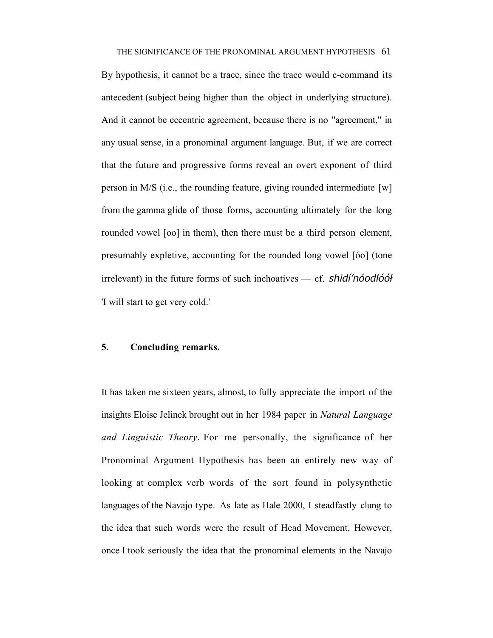By hypothesis, it cannot be a trace, since the trace would c-command its antecedent (subject being higher than the object in underlying structure). And it cannot be eccentric agreement, because there is no "agreement," in any usual sense, in a pronominal argument language. But, if we are correct that the future and progressive forms reveal an overt exponent of third person in M/S (i.e., the rounding feature, giving rounded intermediate [w] from the gamma glide of those forms, accounting ultimately for the long rounded vowel [oo] in them), then there must be a third person element, presumably expletive, accounting for the rounded long vowel [óo] (tone irrelevant) in the future forms of such inchoatives — cf. shidi'noodloot 'I will start to get very cold.'

### 5. Concluding remarks.

It has taken me sixteen years, almost, to fully appreciate the import of the insights Eloise Jelinek brought out in her 1984 paper in *Natural Language and Linguistic Theory*. For me personally, the significance of her Pronominal Argument Hypothesis has been an entirely new way of looking at complex verb words of the sort found in polysynthetic languages of the Navajo type. As late as Hale 2000, I steadfastly clung to the idea that such words were the result of Head Movement. However, once I took seriously the idea that the pronominal elements in the Navajo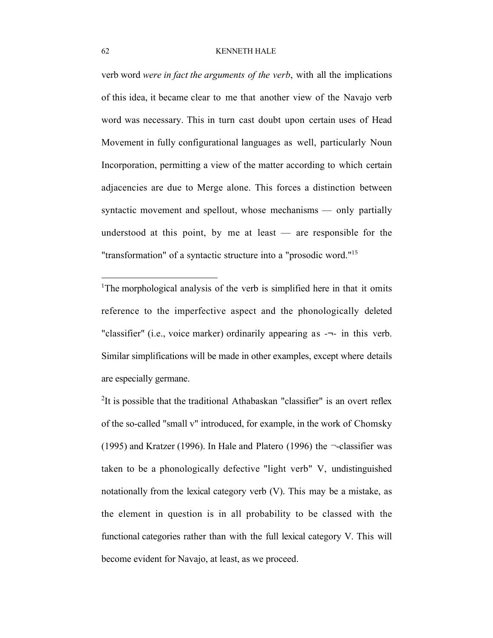verb word *were in fact the arguments of the verb*, with all the implications of this idea, it became clear to me that another view of the Navajo verb word was necessary. This in turn cast doubt upon certain uses of Head Movement in fully configurational languages as well, particularly Noun Incorporation, permitting a view of the matter according to which certain adjacencies are due to Merge alone. This forces a distinction between syntactic movement and spellout, whose mechanisms — only partially understood at this point, by me at least  $-$  are responsible for the "transformation" of a syntactic structure into a "prosodic word."<sup>15</sup>

<sup>1</sup>The morphological analysis of the verb is simplified here in that it omits reference to the imperfective aspect and the phonologically deleted "classifier" (i.e., voice marker) ordinarily appearing as -¬- in this verb. Similar simplifications will be made in other examples, except where details are especially germane.

<sup>2</sup>It is possible that the traditional Athabaskan "classifier" is an overt reflex of the so-called "small v" introduced, for example, in the work of Chomsky (1995) and Kratzer (1996). In Hale and Platero (1996) the  $\neg$ -classifier was taken to be a phonologically defective "light verb" V, undistinguished notationally from the lexical category verb (V). This may be a mistake, as the element in question is in all probability to be classed with the functional categories rather than with the full lexical category V. This will become evident for Navajo, at least, as we proceed.

 $\overline{a}$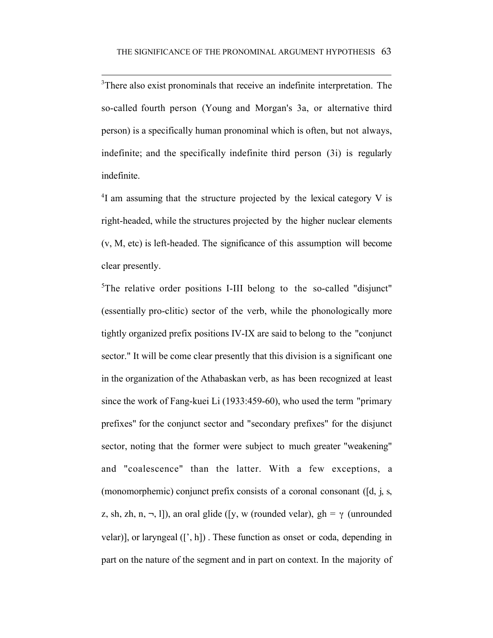$\overline{a}$ 

<sup>3</sup>There also exist pronominals that receive an indefinite interpretation. The so-called fourth person (Young and Morgan's 3a, or alternative third person) is a specifically human pronominal which is often, but not always, indefinite; and the specifically indefinite third person (3i) is regularly indefinite.

<sup>4</sup>I am assuming that the structure projected by the lexical category V is right-headed, while the structures projected by the higher nuclear elements (v, M, etc) is left-headed. The significance of this assumption will become clear presently.

<sup>5</sup>The relative order positions I-III belong to the so-called "disjunct" (essentially pro-clitic) sector of the verb, while the phonologically more tightly organized prefix positions IV-IX are said to belong to the "conjunct sector." It will be come clear presently that this division is a significant one in the organization of the Athabaskan verb, as has been recognized at least since the work of Fang-kuei Li (1933:459-60), who used the term "primary prefixes" for the conjunct sector and "secondary prefixes" for the disjunct sector, noting that the former were subject to much greater "weakening" and "coalescence" than the latter. With a few exceptions, a (monomorphemic) conjunct prefix consists of a coronal consonant ([d, j, s, z, sh, zh, n, ¬, l]), an oral glide ([y, w (rounded velar), gh =  $\gamma$  (unrounded velar)], or laryngeal ([', h]) . These function as onset or coda, depending in part on the nature of the segment and in part on context. In the majority of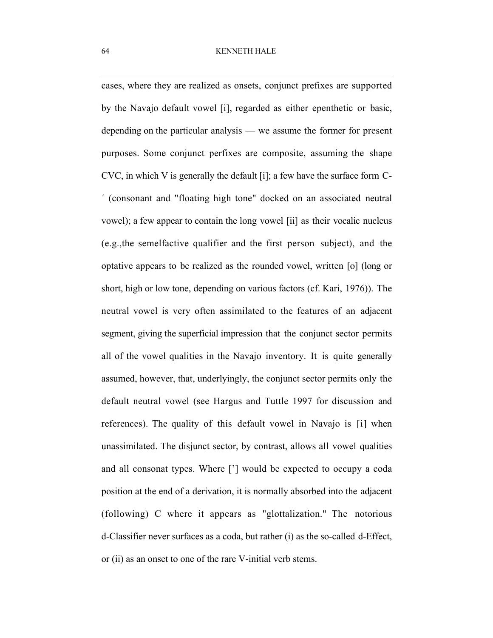cases, where they are realized as onsets, conjunct prefixes are supported by the Navajo default vowel [i], regarded as either epenthetic or basic, depending on the particular analysis — we assume the former for present purposes. Some conjunct perfixes are composite, assuming the shape CVC, in which V is generally the default [i]; a few have the surface form C- ´ (consonant and "floating high tone" docked on an associated neutral vowel); a few appear to contain the long vowel [ii] as their vocalic nucleus (e.g.,the semelfactive qualifier and the first person subject), and the optative appears to be realized as the rounded vowel, written [o] (long or short, high or low tone, depending on various factors (cf. Kari, 1976)). The neutral vowel is very often assimilated to the features of an adjacent segment, giving the superficial impression that the conjunct sector permits all of the vowel qualities in the Navajo inventory. It is quite generally assumed, however, that, underlyingly, the conjunct sector permits only the default neutral vowel (see Hargus and Tuttle 1997 for discussion and references). The quality of this default vowel in Navajo is [i] when unassimilated. The disjunct sector, by contrast, allows all vowel qualities and all consonat types. Where ['] would be expected to occupy a coda position at the end of a derivation, it is normally absorbed into the adjacent (following) C where it appears as "glottalization." The notorious d-Classifier never surfaces as a coda, but rather (i) as the so-called d-Effect, or (ii) as an onset to one of the rare V-initial verb stems.

 $\overline{a}$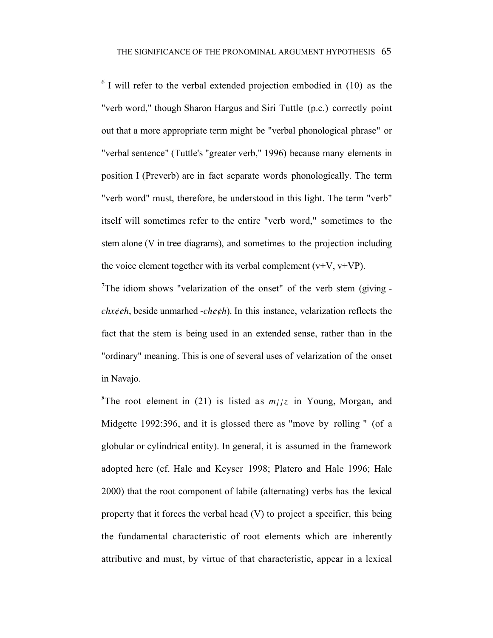$\overline{a}$ 

 $6$  I will refer to the verbal extended projection embodied in (10) as the "verb word," though Sharon Hargus and Siri Tuttle (p.c.) correctly point out that a more appropriate term might be "verbal phonological phrase" or "verbal sentence" (Tuttle's "greater verb," 1996) because many elements in position I (Preverb) are in fact separate words phonologically. The term "verb word" must, therefore, be understood in this light. The term "verb" itself will sometimes refer to the entire "verb word," sometimes to the stem alone (V in tree diagrams), and sometimes to the projection including the voice element together with its verbal complement  $(v+V, v+VP)$ .

<sup>7</sup>The idiom shows "velarization of the onset" of the verb stem (giving  $-\frac{1}{2}$ *chx¢¢h*, beside unmarhed -*ch¢¢h*). In this instance, velarization reflects the fact that the stem is being used in an extended sense, rather than in the "ordinary" meaning. This is one of several uses of velarization of the onset in Navajo.

<sup>8</sup>The root element in (21) is listed as  $m_{ij}z$  in Young, Morgan, and Midgette 1992:396, and it is glossed there as "move by rolling " (of a globular or cylindrical entity). In general, it is assumed in the framework adopted here (cf. Hale and Keyser 1998; Platero and Hale 1996; Hale 2000) that the root component of labile (alternating) verbs has the lexical property that it forces the verbal head (V) to project a specifier, this being the fundamental characteristic of root elements which are inherently attributive and must, by virtue of that characteristic, appear in a lexical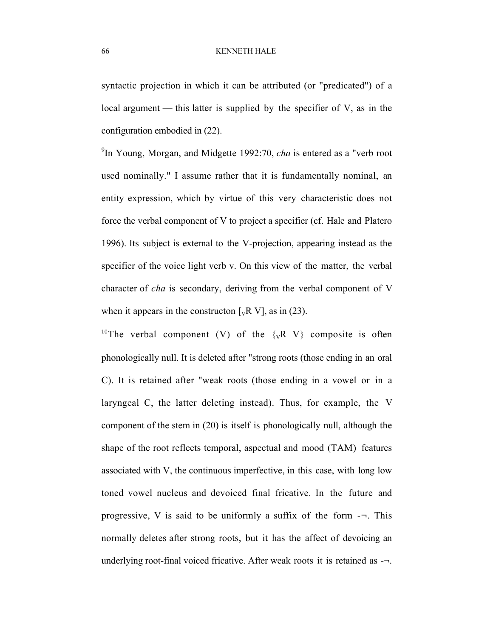syntactic projection in which it can be attributed (or "predicated") of a local argument — this latter is supplied by the specifier of V, as in the configuration embodied in (22).

9 In Young, Morgan, and Midgette 1992:70, *cha* is entered as a "verb root used nominally." I assume rather that it is fundamentally nominal, an entity expression, which by virtue of this very characteristic does not force the verbal component of V to project a specifier (cf. Hale and Platero 1996). Its subject is external to the V-projection, appearing instead as the specifier of the voice light verb v. On this view of the matter, the verbal character of *cha* is secondary, deriving from the verbal component of V when it appears in the constructon  $[\sqrt{k} V]$ , as in (23).

<sup>10</sup>The verbal component (V) of the  $\{vR \ V\}$  composite is often phonologically null. It is deleted after "strong roots (those ending in an oral C). It is retained after "weak roots (those ending in a vowel or in a laryngeal C, the latter deleting instead). Thus, for example, the V component of the stem in (20) is itself is phonologically null, although the shape of the root reflects temporal, aspectual and mood (TAM) features associated with V, the continuous imperfective, in this case, with long low toned vowel nucleus and devoiced final fricative. In the future and progressive, V is said to be uniformly a suffix of the form  $-\neg$ . This normally deletes after strong roots, but it has the affect of devoicing an underlying root-final voiced fricative. After weak roots it is retained as -¬.

 $\overline{a}$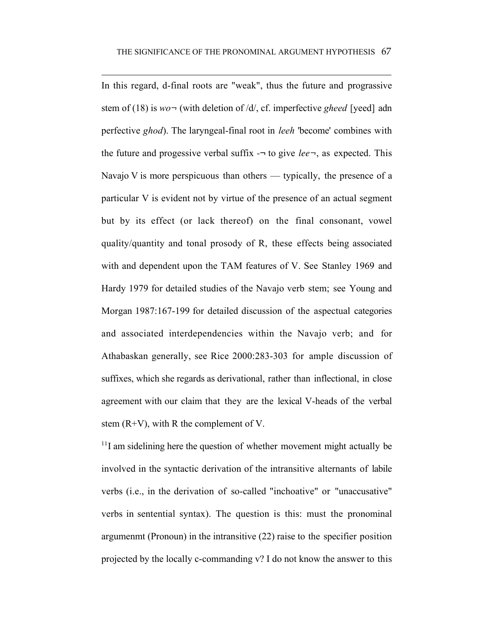$\overline{a}$ 

In this regard, d-final roots are "weak", thus the future and prograssive stem of (18) is *wo¬* (with deletion of /d/, cf. imperfective *gheed* [yeed] adn perfective *ghod*). The laryngeal-final root in *leeh* 'become' combines with the future and progessive verbal suffix  $-\tau$  to give *lee*, as expected. This Navajo V is more perspicuous than others — typically, the presence of a particular V is evident not by virtue of the presence of an actual segment but by its effect (or lack thereof) on the final consonant, vowel quality/quantity and tonal prosody of R, these effects being associated with and dependent upon the TAM features of V. See Stanley 1969 and Hardy 1979 for detailed studies of the Navajo verb stem; see Young and Morgan 1987:167-199 for detailed discussion of the aspectual categories and associated interdependencies within the Navajo verb; and for Athabaskan generally, see Rice 2000:283-303 for ample discussion of suffixes, which she regards as derivational, rather than inflectional, in close agreement with our claim that they are the lexical V-heads of the verbal stem (R+V), with R the complement of V.

 $11$ I am sidelining here the question of whether movement might actually be involved in the syntactic derivation of the intransitive alternants of labile verbs (i.e., in the derivation of so-called "inchoative" or "unaccusative" verbs in sentential syntax). The question is this: must the pronominal argumenmt (Pronoun) in the intransitive (22) raise to the specifier position projected by the locally c-commanding v? I do not know the answer to this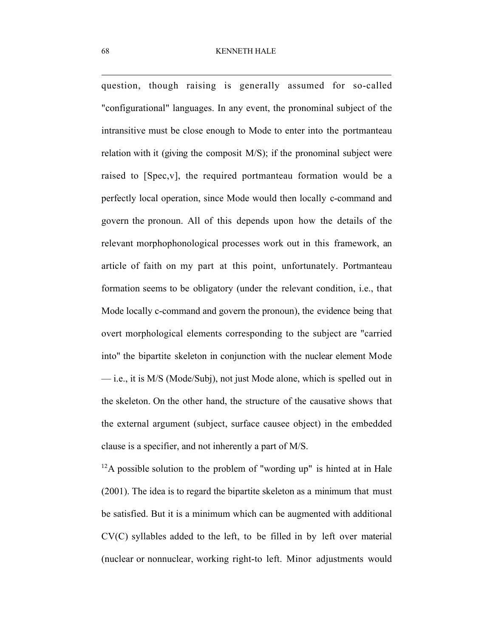$\overline{a}$ question, though raising is generally assumed for so-called "configurational" languages. In any event, the pronominal subject of the intransitive must be close enough to Mode to enter into the portmanteau relation with it (giving the composit M/S); if the pronominal subject were raised to [Spec,v], the required portmanteau formation would be a perfectly local operation, since Mode would then locally c-command and govern the pronoun. All of this depends upon how the details of the relevant morphophonological processes work out in this framework, an article of faith on my part at this point, unfortunately. Portmanteau formation seems to be obligatory (under the relevant condition, i.e., that Mode locally c-command and govern the pronoun), the evidence being that overt morphological elements corresponding to the subject are "carried into" the bipartite skeleton in conjunction with the nuclear element Mode — i.e., it is M/S (Mode/Subj), not just Mode alone, which is spelled out in the skeleton. On the other hand, the structure of the causative shows that the external argument (subject, surface causee object) in the embedded clause is a specifier, and not inherently a part of M/S.

 $12A$  possible solution to the problem of "wording up" is hinted at in Hale (2001). The idea is to regard the bipartite skeleton as a minimum that must be satisfied. But it is a minimum which can be augmented with additional CV(C) syllables added to the left, to be filled in by left over material (nuclear or nonnuclear, working right-to left. Minor adjustments would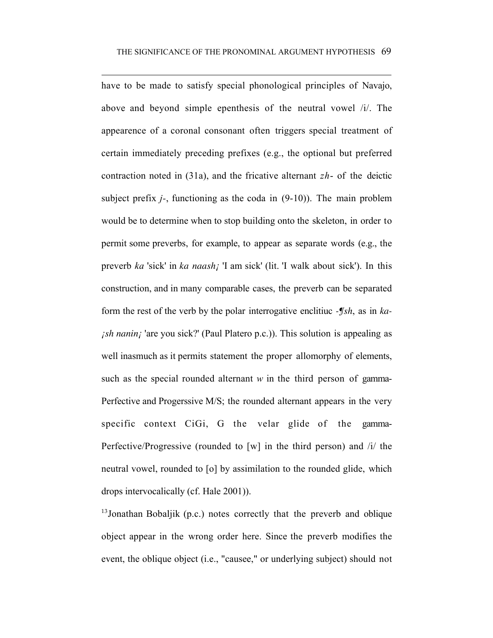$\overline{a}$ have to be made to satisfy special phonological principles of Navajo, above and beyond simple epenthesis of the neutral vowel /i/. The appearence of a coronal consonant often triggers special treatment of certain immediately preceding prefixes (e.g., the optional but preferred contraction noted in (31a), and the fricative alternant *zh*- of the deictic subject prefix *j-*, functioning as the coda in (9-10)). The main problem would be to determine when to stop building onto the skeleton, in order to permit some preverbs, for example, to appear as separate words (e.g., the preverb *ka* 'sick' in *ka naash¡* 'I am sick' (lit. 'I walk about sick'). In this construction, and in many comparable cases, the preverb can be separated form the rest of the verb by the polar interrogative enclitiuc *-¶sh*, as in *ka ish nanin<sub>i</sub>* 'are you sick?' (Paul Platero p.c.)). This solution is appealing as well inasmuch as it permits statement the proper allomorphy of elements, such as the special rounded alternant *w* in the third person of gamma-Perfective and Progerssive M/S; the rounded alternant appears in the very specific context CiGi, G the velar glide of the gamma-Perfective/Progressive (rounded to [w] in the third person) and /i/ the neutral vowel, rounded to [o] by assimilation to the rounded glide, which drops intervocalically (cf. Hale 2001)).

<sup>13</sup> Jonathan Bobaljik (p.c.) notes correctly that the preverb and oblique object appear in the wrong order here. Since the preverb modifies the event, the oblique object (i.e., "causee," or underlying subject) should not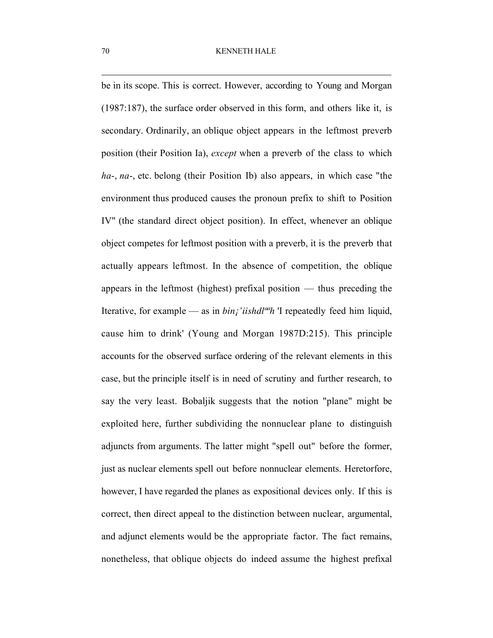be in its scope. This is correct. However, according to Young and Morgan (1987:187), the surface order observed in this form, and others like it, is secondary. Ordinarily, an oblique object appears in the leftmost preverb position (their Position Ia), *except* when a preverb of the class to which *ha*-, *na*-, etc. belong (their Position Ib) also appears, in which case "the environment thus produced causes the pronoun prefix to shift to Position IV" (the standard direct object position). In effect, whenever an oblique object competes for leftmost position with a preverb, it is the preverb that actually appears leftmost. In the absence of competition, the oblique appears in the leftmost (highest) prefixal position — thus preceding the Iterative, for example — as in *bin¡'iishdlªªh* 'I repeatedly feed him liquid, cause him to drink' (Young and Morgan 1987D:215). This principle accounts for the observed surface ordering of the relevant elements in this case, but the principle itself is in need of scrutiny and further research, to say the very least. Bobaljik suggests that the notion "plane" might be exploited here, further subdividing the nonnuclear plane to distinguish adjuncts from arguments. The latter might "spell out" before the former, just as nuclear elements spell out before nonnuclear elements. Heretorfore, however, I have regarded the planes as expositional devices only. If this is correct, then direct appeal to the distinction between nuclear, argumental, and adjunct elements would be the appropriate factor. The fact remains, nonetheless, that oblique objects do indeed assume the highest prefixal

 $\overline{a}$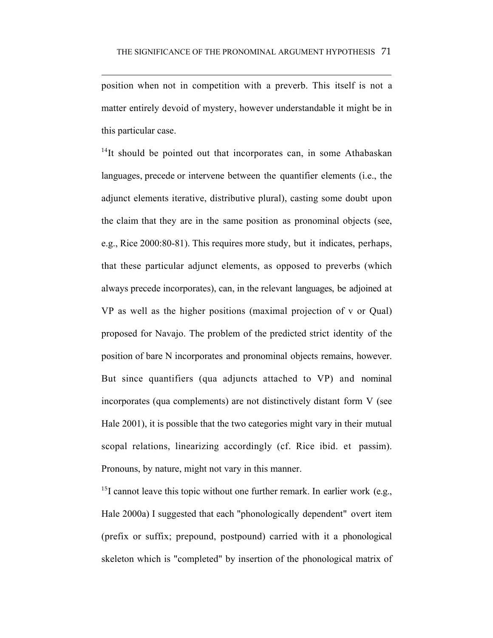position when not in competition with a preverb. This itself is not a matter entirely devoid of mystery, however understandable it might be in this particular case.

 $\overline{a}$ 

<sup>14</sup>It should be pointed out that incorporates can, in some Athabaskan languages, precede or intervene between the quantifier elements (i.e., the adjunct elements iterative, distributive plural), casting some doubt upon the claim that they are in the same position as pronominal objects (see, e.g., Rice 2000:80-81). This requires more study, but it indicates, perhaps, that these particular adjunct elements, as opposed to preverbs (which always precede incorporates), can, in the relevant languages, be adjoined at VP as well as the higher positions (maximal projection of v or Qual) proposed for Navajo. The problem of the predicted strict identity of the position of bare N incorporates and pronominal objects remains, however. But since quantifiers (qua adjuncts attached to VP) and nominal incorporates (qua complements) are not distinctively distant form V (see Hale 2001), it is possible that the two categories might vary in their mutual scopal relations, linearizing accordingly (cf. Rice ibid. et passim). Pronouns, by nature, might not vary in this manner.

 $^{15}$ I cannot leave this topic without one further remark. In earlier work (e.g., Hale 2000a) I suggested that each "phonologically dependent" overt item (prefix or suffix; prepound, postpound) carried with it a phonological skeleton which is "completed" by insertion of the phonological matrix of